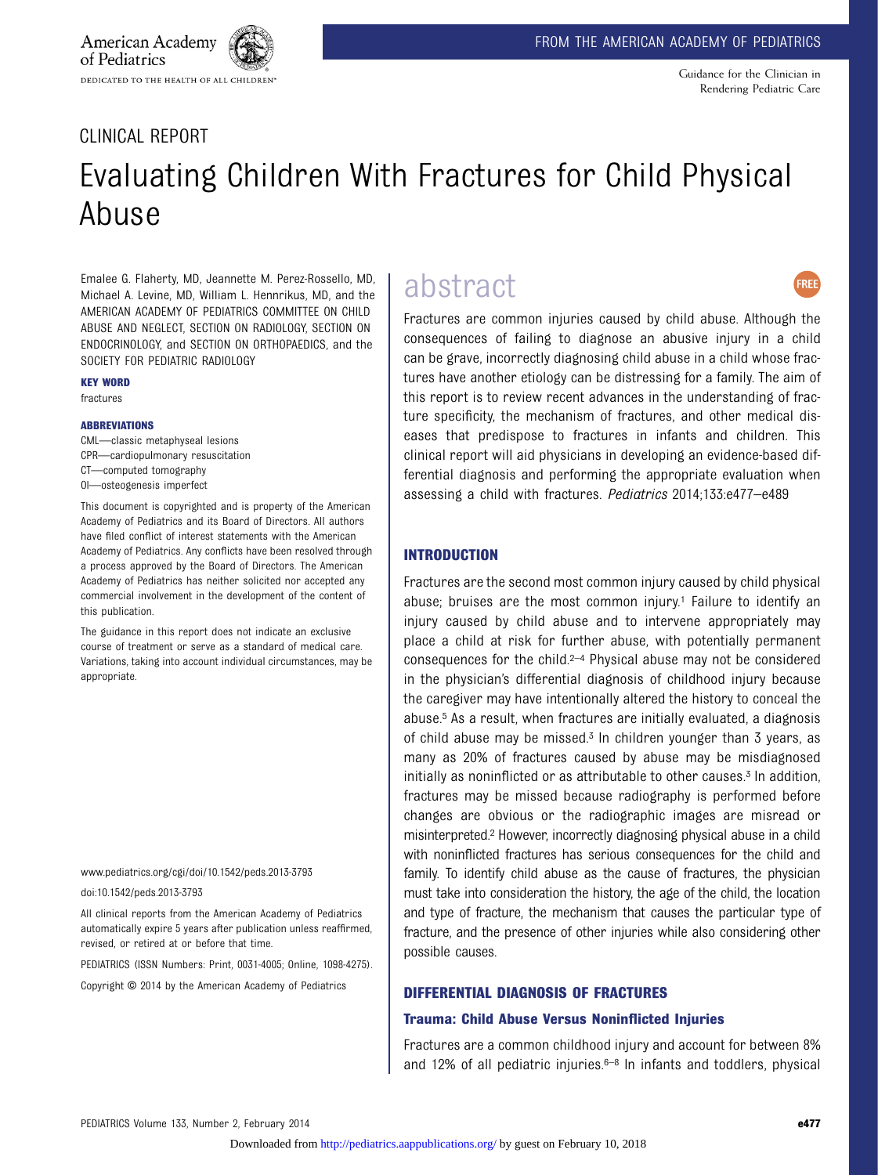

# CLINICAL REPORT

American Academy

DEDICATED TO THE HEALTH OF ALL CHILDREN"

of Pediatrics

# Evaluating Children With Fractures for Child Physical Abuse

Emalee G. Flaherty, MD, Jeannette M. Perez-Rossello, MD, Michael A. Levine, MD, William L. Hennrikus, MD, and the AMERICAN ACADEMY OF PEDIATRICS COMMITTEE ON CHILD ABUSE AND NEGLECT, SECTION ON RADIOLOGY, SECTION ON ENDOCRINOLOGY, and SECTION ON ORTHOPAEDICS, and the SOCIETY FOR PEDIATRIC RADIOLOGY

#### KEY WORD

fractures

#### ABBREVIATIONS

CML—classic metaphyseal lesions CPR—cardiopulmonary resuscitation CT—computed tomography OI—osteogenesis imperfect

This document is copyrighted and is property of the American Academy of Pediatrics and its Board of Directors. All authors have filed conflict of interest statements with the American Academy of Pediatrics. Any conflicts have been resolved through a process approved by the Board of Directors. The American Academy of Pediatrics has neither solicited nor accepted any commercial involvement in the development of the content of this publication.

The guidance in this report does not indicate an exclusive course of treatment or serve as a standard of medical care. Variations, taking into account individual circumstances, may be appropriate.

www.pediatrics.org/cgi/doi/10.1542/peds.2013-3793

#### doi:10.1542/peds.2013-3793

All clinical reports from the American Academy of Pediatrics automatically expire 5 years after publication unless reaffirmed, revised, or retired at or before that time.

PEDIATRICS (ISSN Numbers: Print, 0031-4005; Online, 1098-4275).

Copyright © 2014 by the American Academy of Pediatrics

# abstract

FRFF

Fractures are common injuries caused by child abuse. Although the consequences of failing to diagnose an abusive injury in a child can be grave, incorrectly diagnosing child abuse in a child whose fractures have another etiology can be distressing for a family. The aim of this report is to review recent advances in the understanding of fracture specificity, the mechanism of fractures, and other medical diseases that predispose to fractures in infants and children. This clinical report will aid physicians in developing an evidence-based differential diagnosis and performing the appropriate evaluation when assessing a child with fractures. Pediatrics 2014;133:e477–e489

#### INTRODUCTION

Fractures are the second most common injury caused by child physical abuse; bruises are the most common injury.<sup>1</sup> Failure to identify an injury caused by child abuse and to intervene appropriately may place a child at risk for further abuse, with potentially permanent consequences for the child.<sup>2-4</sup> Physical abuse may not be considered in the physician's differential diagnosis of childhood injury because the caregiver may have intentionally altered the history to conceal the abuse.5 As a result, when fractures are initially evaluated, a diagnosis of child abuse may be missed. $3$  In children younger than  $3$  years, as many as 20% of fractures caused by abuse may be misdiagnosed initially as noninflicted or as attributable to other causes.<sup>3</sup> In addition, fractures may be missed because radiography is performed before changes are obvious or the radiographic images are misread or misinterpreted.2 However, incorrectly diagnosing physical abuse in a child with noninflicted fractures has serious consequences for the child and family. To identify child abuse as the cause of fractures, the physician must take into consideration the history, the age of the child, the location and type of fracture, the mechanism that causes the particular type of fracture, and the presence of other injuries while also considering other possible causes.

#### DIFFERENTIAL DIAGNOSIS OF FRACTURES

#### Trauma: Child Abuse Versus Noninflicted Injuries

Fractures are a common childhood injury and account for between 8% and 12% of all pediatric injuries. $6-8$  In infants and toddlers, physical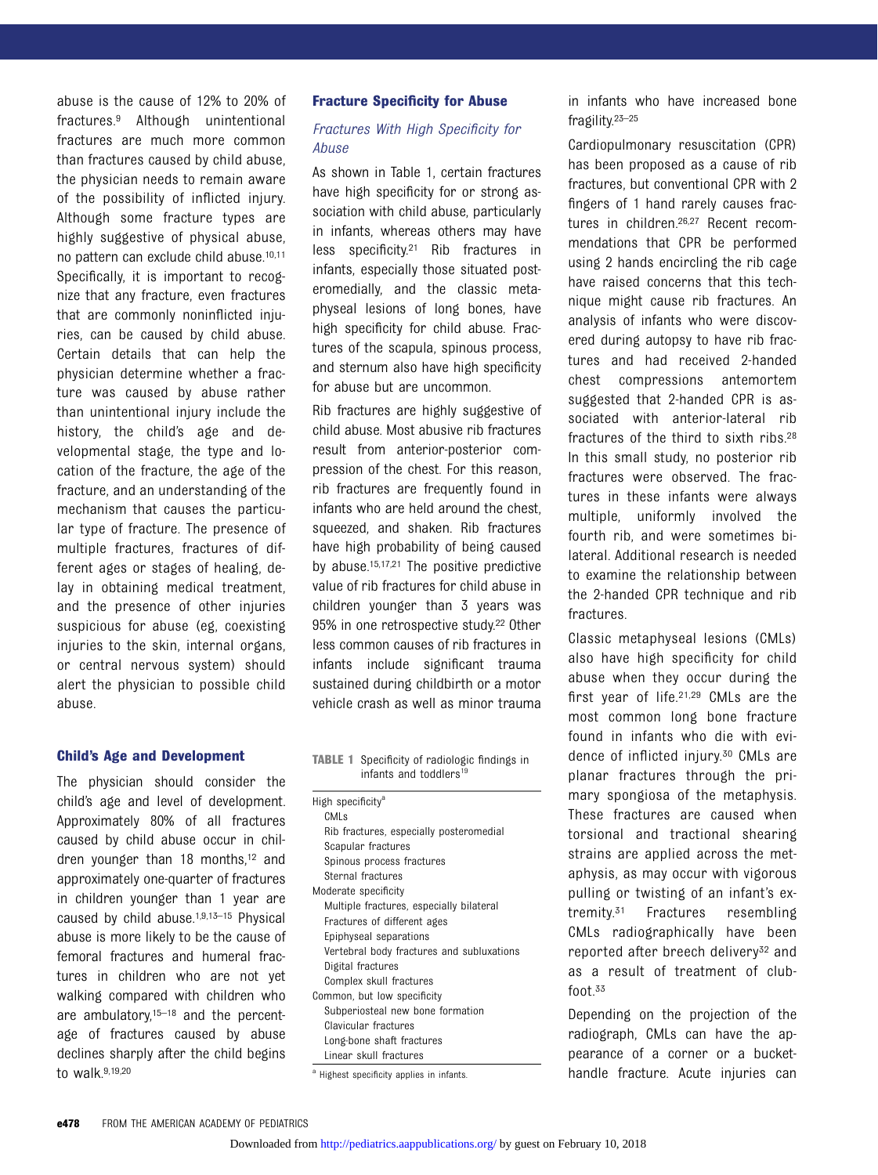abuse is the cause of 12% to 20% of fractures.9 Although unintentional fractures are much more common than fractures caused by child abuse, the physician needs to remain aware of the possibility of inflicted injury. Although some fracture types are highly suggestive of physical abuse, no pattern can exclude child abuse.10,11 Specifically, it is important to recognize that any fracture, even fractures that are commonly noninflicted injuries, can be caused by child abuse. Certain details that can help the physician determine whether a fracture was caused by abuse rather than unintentional injury include the history, the child's age and developmental stage, the type and location of the fracture, the age of the fracture, and an understanding of the mechanism that causes the particular type of fracture. The presence of multiple fractures, fractures of different ages or stages of healing, delay in obtaining medical treatment, and the presence of other injuries suspicious for abuse (eg, coexisting injuries to the skin, internal organs, or central nervous system) should alert the physician to possible child abuse.

#### Fracture Specificity for Abuse

# Fractures With High Specificity for Abuse

As shown in Table 1, certain fractures have high specificity for or strong association with child abuse, particularly in infants, whereas others may have less specificity.21 Rib fractures in infants, especially those situated posteromedially, and the classic metaphyseal lesions of long bones, have high specificity for child abuse. Fractures of the scapula, spinous process, and sternum also have high specificity for abuse but are uncommon.

Rib fractures are highly suggestive of child abuse. Most abusive rib fractures result from anterior-posterior compression of the chest. For this reason, rib fractures are frequently found in infants who are held around the chest, squeezed, and shaken. Rib fractures have high probability of being caused by abuse.<sup>15,17,21</sup> The positive predictive value of rib fractures for child abuse in children younger than 3 years was 95% in one retrospective study.<sup>22</sup> Other less common causes of rib fractures in infants include significant trauma sustained during childbirth or a motor vehicle crash as well as minor trauma

Child's Age and Development

The physician should consider the child's age and level of development. Approximately 80% of all fractures caused by child abuse occur in children younger than 18 months,12 and approximately one-quarter of fractures in children younger than 1 year are caused by child abuse.1,9,13–<sup>15</sup> Physical abuse is more likely to be the cause of femoral fractures and humeral fractures in children who are not yet walking compared with children who are ambulatory,<sup>15-18</sup> and the percentage of fractures caused by abuse declines sharply after the child begins to walk.9,19,20

TABLE 1 Specificity of radiologic findings in infants and toddlers<sup>19</sup>

| High specificity <sup>a</sup>                |
|----------------------------------------------|
| CMLs                                         |
| Rib fractures, especially posteromedial      |
| Scapular fractures                           |
| Spinous process fractures                    |
| Sternal fractures                            |
| Moderate specificity                         |
| Multiple fractures, especially bilateral     |
| Fractures of different ages                  |
| Epiphyseal separations                       |
| Vertebral body fractures and subluxations    |
| Digital fractures                            |
| Complex skull fractures                      |
| Common, but low specificity                  |
| Subperiosteal new bone formation             |
| Clavicular fractures                         |
| Long-bone shaft fractures                    |
| Linear skull fractures                       |
| a<br>Highest specificity applies in infants. |

in infants who have increased bone fragility.23–<sup>25</sup>

Cardiopulmonary resuscitation (CPR) has been proposed as a cause of rib fractures, but conventional CPR with 2 fingers of 1 hand rarely causes fractures in children.26,27 Recent recommendations that CPR be performed using 2 hands encircling the rib cage have raised concerns that this technique might cause rib fractures. An analysis of infants who were discovered during autopsy to have rib fractures and had received 2-handed chest compressions antemortem suggested that 2-handed CPR is associated with anterior-lateral rib fractures of the third to sixth ribs.28 In this small study, no posterior rib fractures were observed. The fractures in these infants were always multiple, uniformly involved the fourth rib, and were sometimes bilateral. Additional research is needed to examine the relationship between the 2-handed CPR technique and rib fractures.

Classic metaphyseal lesions (CMLs) also have high specificity for child abuse when they occur during the first year of life.21,29 CMLs are the most common long bone fracture found in infants who die with evidence of inflicted injury.30 CMLs are planar fractures through the primary spongiosa of the metaphysis. These fractures are caused when torsional and tractional shearing strains are applied across the metaphysis, as may occur with vigorous pulling or twisting of an infant's extremity.31 Fractures resembling CMLs radiographically have been reported after breech delivery32 and as a result of treatment of clubfoot.33

Depending on the projection of the radiograph, CMLs can have the appearance of a corner or a buckethandle fracture. Acute injuries can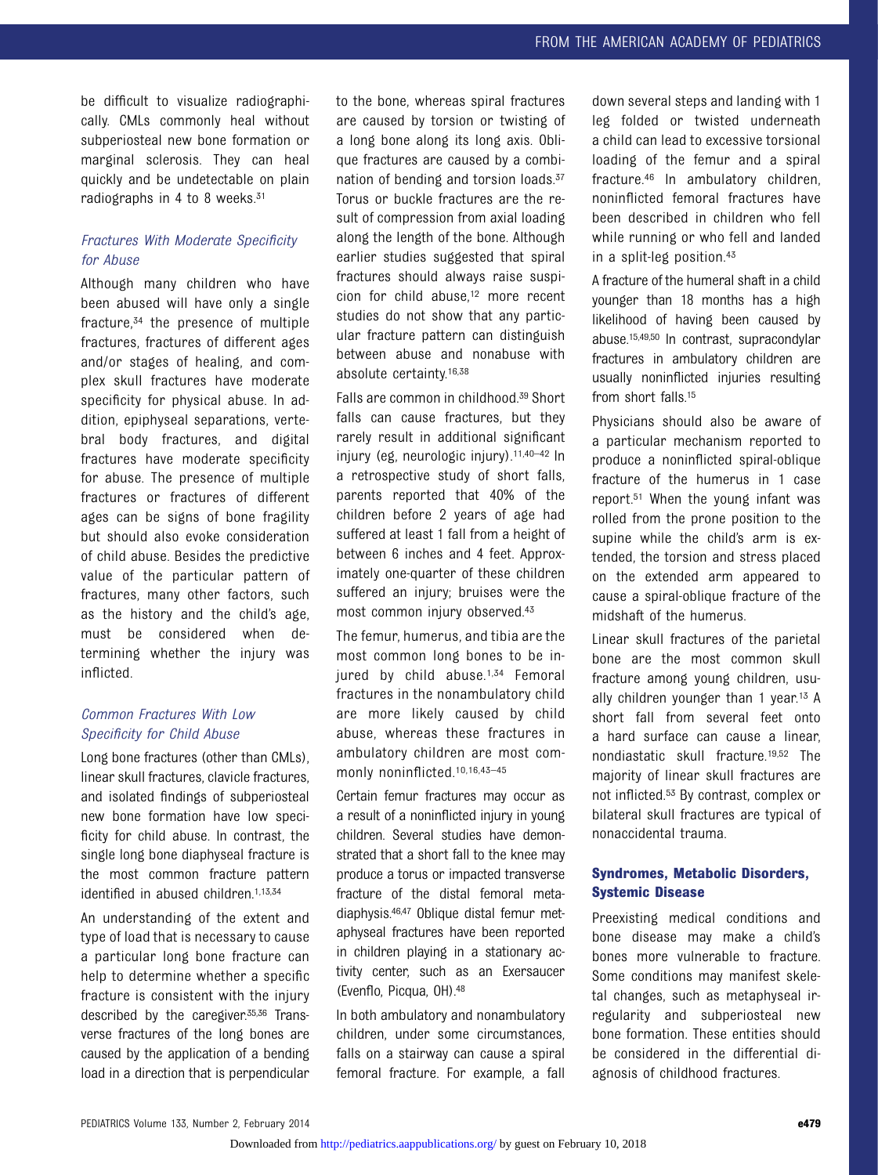be difficult to visualize radiographically. CMLs commonly heal without subperiosteal new bone formation or marginal sclerosis. They can heal quickly and be undetectable on plain radiographs in 4 to 8 weeks.<sup>31</sup>

# Fractures With Moderate Specificity for Abuse

Although many children who have been abused will have only a single fracture,34 the presence of multiple fractures, fractures of different ages and/or stages of healing, and complex skull fractures have moderate specificity for physical abuse. In addition, epiphyseal separations, vertebral body fractures, and digital fractures have moderate specificity for abuse. The presence of multiple fractures or fractures of different ages can be signs of bone fragility but should also evoke consideration of child abuse. Besides the predictive value of the particular pattern of fractures, many other factors, such as the history and the child's age, must be considered when determining whether the injury was inflicted.

# Common Fractures With Low Specificity for Child Abuse

Long bone fractures (other than CMLs), linear skull fractures, clavicle fractures, and isolated findings of subperiosteal new bone formation have low specificity for child abuse. In contrast, the single long bone diaphyseal fracture is the most common fracture pattern identified in abused children.<sup>1,13,34</sup>

An understanding of the extent and type of load that is necessary to cause a particular long bone fracture can help to determine whether a specific fracture is consistent with the injury described by the caregiver.35,36 Transverse fractures of the long bones are caused by the application of a bending load in a direction that is perpendicular

to the bone, whereas spiral fractures are caused by torsion or twisting of a long bone along its long axis. Oblique fractures are caused by a combination of bending and torsion loads.<sup>37</sup> Torus or buckle fractures are the result of compression from axial loading along the length of the bone. Although earlier studies suggested that spiral fractures should always raise suspicion for child abuse,<sup>12</sup> more recent studies do not show that any particular fracture pattern can distinguish between abuse and nonabuse with absolute certainty.16,38

Falls are common in childhood.39 Short falls can cause fractures, but they rarely result in additional significant injury (eg, neurologic injury).11,40–<sup>42</sup> In a retrospective study of short falls, parents reported that 40% of the children before 2 years of age had suffered at least 1 fall from a height of between 6 inches and 4 feet. Approximately one-quarter of these children suffered an injury; bruises were the most common injury observed.43

The femur, humerus, and tibia are the most common long bones to be injured by child abuse.<sup>1,34</sup> Femoral fractures in the nonambulatory child are more likely caused by child abuse, whereas these fractures in ambulatory children are most commonly noninflicted.10,16,43–<sup>45</sup>

Certain femur fractures may occur as a result of a noninflicted injury in young children. Several studies have demonstrated that a short fall to the knee may produce a torus or impacted transverse fracture of the distal femoral metadiaphysis.46,47 Oblique distal femur metaphyseal fractures have been reported in children playing in a stationary activity center, such as an Exersaucer (Evenflo, Picqua, OH).48

In both ambulatory and nonambulatory children, under some circumstances, falls on a stairway can cause a spiral femoral fracture. For example, a fall

down several steps and landing with 1 leg folded or twisted underneath a child can lead to excessive torsional loading of the femur and a spiral fracture.46 In ambulatory children, noninflicted femoral fractures have been described in children who fell while running or who fell and landed in a split-leg position.43

A fracture of the humeral shaft in a child younger than 18 months has a high likelihood of having been caused by abuse.15,49,50 In contrast, supracondylar fractures in ambulatory children are usually noninflicted injuries resulting from short falls.15

Physicians should also be aware of a particular mechanism reported to produce a noninflicted spiral-oblique fracture of the humerus in 1 case report.51 When the young infant was rolled from the prone position to the supine while the child's arm is extended, the torsion and stress placed on the extended arm appeared to cause a spiral-oblique fracture of the midshaft of the humerus.

Linear skull fractures of the parietal bone are the most common skull fracture among young children, usually children younger than 1 year.<sup>13</sup> A short fall from several feet onto a hard surface can cause a linear, nondiastatic skull fracture.19,52 The majority of linear skull fractures are not inflicted.53 By contrast, complex or bilateral skull fractures are typical of nonaccidental trauma.

# Syndromes, Metabolic Disorders, Systemic Disease

Preexisting medical conditions and bone disease may make a child's bones more vulnerable to fracture. Some conditions may manifest skeletal changes, such as metaphyseal irregularity and subperiosteal new bone formation. These entities should be considered in the differential diagnosis of childhood fractures.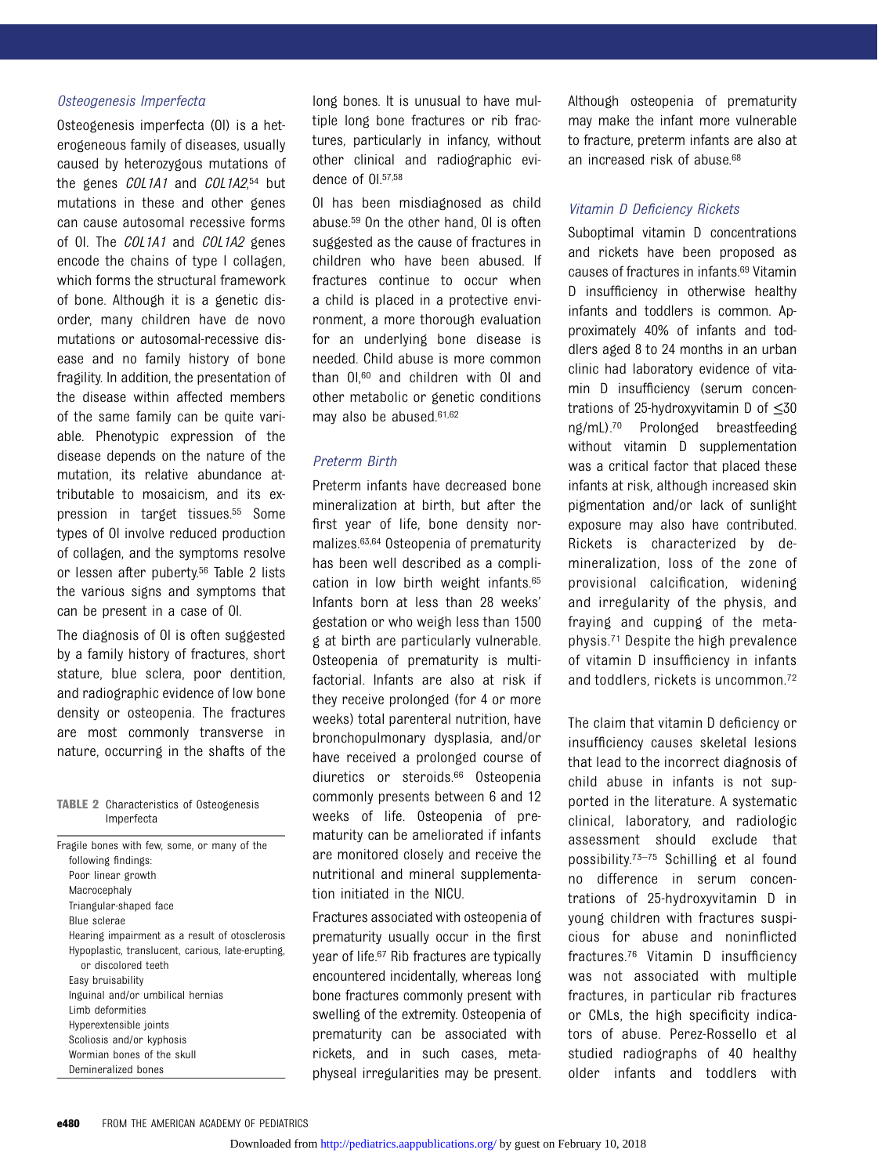#### Osteogenesis Imperfecta

Osteogenesis imperfecta (OI) is a heterogeneous family of diseases, usually caused by heterozygous mutations of the genes *COL1A1* and *COL1A2*,<sup>54</sup> but mutations in these and other genes can cause autosomal recessive forms of OI. The COL1A1 and COL1A2 genes encode the chains of type I collagen, which forms the structural framework of bone. Although it is a genetic disorder, many children have de novo mutations or autosomal-recessive disease and no family history of bone fragility. In addition, the presentation of the disease within affected members of the same family can be quite variable. Phenotypic expression of the disease depends on the nature of the mutation, its relative abundance attributable to mosaicism, and its expression in target tissues.55 Some types of OI involve reduced production of collagen, and the symptoms resolve or lessen after puberty.<sup>56</sup> Table 2 lists the various signs and symptoms that can be present in a case of OI.

The diagnosis of OI is often suggested by a family history of fractures, short stature, blue sclera, poor dentition, and radiographic evidence of low bone density or osteopenia. The fractures are most commonly transverse in nature, occurring in the shafts of the

#### TABLE 2 Characteristics of Osteogenesis Imperfecta

Fragile bones with few, some, or many of the following findings: Poor linear growth Macrocephaly Triangular-shaped face Blue sclerae Hearing impairment as a result of otosclerosis Hypoplastic, translucent, carious, late-erupting, or discolored teeth Easy bruisability Inguinal and/or umbilical hernias Limb deformities Hyperextensible joints Scoliosis and/or kyphosis Wormian bones of the skull Demineralized bones

long bones. It is unusual to have multiple long bone fractures or rib fractures, particularly in infancy, without other clinical and radiographic evidence of OI.57,58

OI has been misdiagnosed as child abuse.59 On the other hand, OI is often suggested as the cause of fractures in children who have been abused. If fractures continue to occur when a child is placed in a protective environment, a more thorough evaluation for an underlying bone disease is needed. Child abuse is more common than OI,60 and children with OI and other metabolic or genetic conditions may also be abused.61,62

#### Preterm Birth

Preterm infants have decreased bone mineralization at birth, but after the first year of life, bone density normalizes.63,64 Osteopenia of prematurity has been well described as a complication in low birth weight infants.65 Infants born at less than 28 weeks' gestation or who weigh less than 1500 g at birth are particularly vulnerable. Osteopenia of prematurity is multifactorial. Infants are also at risk if they receive prolonged (for 4 or more weeks) total parenteral nutrition, have bronchopulmonary dysplasia, and/or have received a prolonged course of diuretics or steroids.<sup>66</sup> Osteopenia commonly presents between 6 and 12 weeks of life. Osteopenia of prematurity can be ameliorated if infants are monitored closely and receive the nutritional and mineral supplementation initiated in the NICU.

Fractures associated with osteopenia of prematurity usually occur in the first year of life.<sup>67</sup> Rib fractures are typically encountered incidentally, whereas long bone fractures commonly present with swelling of the extremity. Osteopenia of prematurity can be associated with rickets, and in such cases, metaphyseal irregularities may be present.

Although osteopenia of prematurity may make the infant more vulnerable to fracture, preterm infants are also at an increased risk of abuse.68

# Vitamin D Deficiency Rickets

Suboptimal vitamin D concentrations and rickets have been proposed as causes of fractures in infants.69 Vitamin D insufficiency in otherwise healthy infants and toddlers is common. Approximately 40% of infants and toddlers aged 8 to 24 months in an urban clinic had laboratory evidence of vitamin D insufficiency (serum concentrations of 25-hydroxyvitamin D of ≤30 ng/mL).70 Prolonged breastfeeding without vitamin D supplementation was a critical factor that placed these infants at risk, although increased skin pigmentation and/or lack of sunlight exposure may also have contributed. Rickets is characterized by demineralization, loss of the zone of provisional calcification, widening and irregularity of the physis, and fraying and cupping of the metaphysis.71 Despite the high prevalence of vitamin D insufficiency in infants and toddlers, rickets is uncommon.72

The claim that vitamin D deficiency or insufficiency causes skeletal lesions that lead to the incorrect diagnosis of child abuse in infants is not supported in the literature. A systematic clinical, laboratory, and radiologic assessment should exclude that possibility.73–<sup>75</sup> Schilling et al found no difference in serum concentrations of 25-hydroxyvitamin D in young children with fractures suspicious for abuse and noninflicted fractures.76 Vitamin D insufficiency was not associated with multiple fractures, in particular rib fractures or CMLs, the high specificity indicators of abuse. Perez-Rossello et al studied radiographs of 40 healthy older infants and toddlers with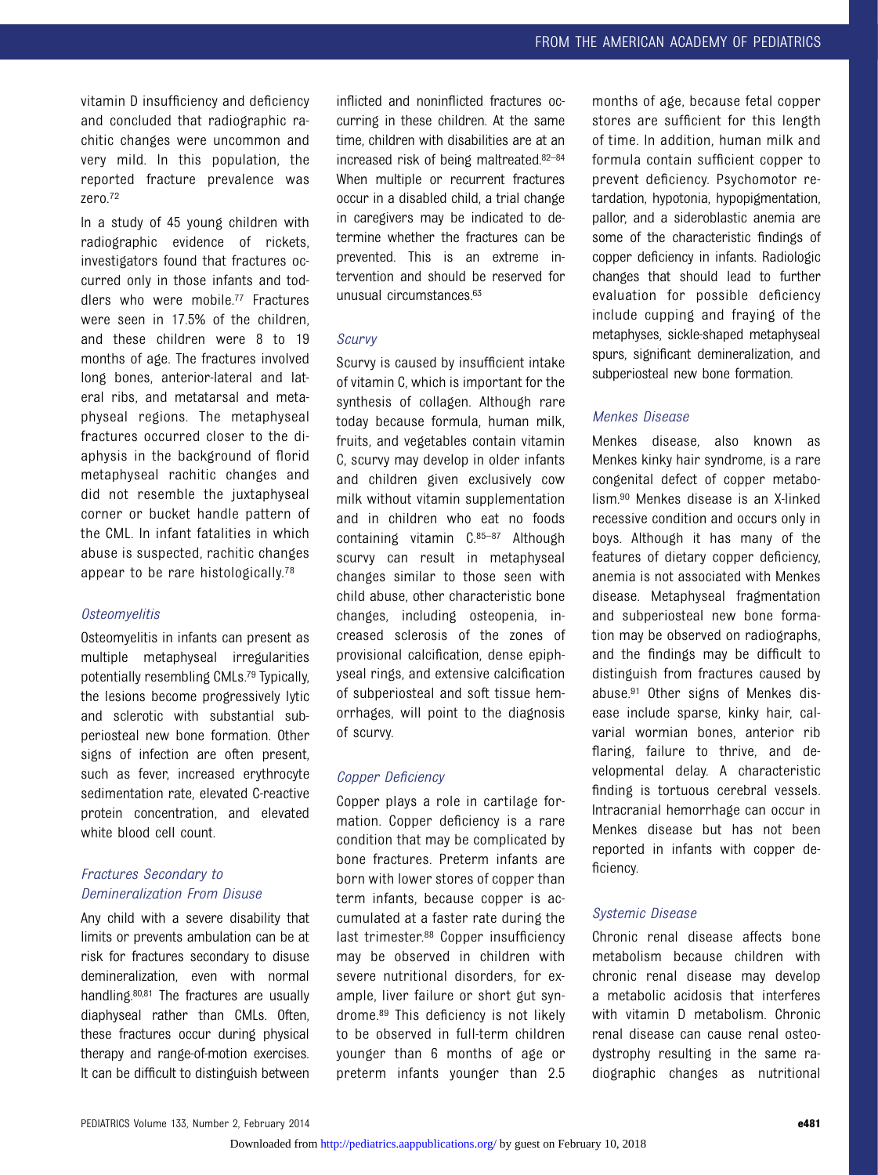vitamin D insufficiency and deficiency and concluded that radiographic rachitic changes were uncommon and very mild. In this population, the reported fracture prevalence was zero.72

In a study of 45 young children with radiographic evidence of rickets, investigators found that fractures occurred only in those infants and toddlers who were mobile.77 Fractures were seen in 17.5% of the children, and these children were 8 to 19 months of age. The fractures involved long bones, anterior-lateral and lateral ribs, and metatarsal and metaphyseal regions. The metaphyseal fractures occurred closer to the diaphysis in the background of florid metaphyseal rachitic changes and did not resemble the juxtaphyseal corner or bucket handle pattern of the CML. In infant fatalities in which abuse is suspected, rachitic changes appear to be rare histologically.<sup>78</sup>

# Osteomyelitis

Osteomyelitis in infants can present as multiple metaphyseal irregularities potentially resembling CMLs.79 Typically, the lesions become progressively lytic and sclerotic with substantial subperiosteal new bone formation. Other signs of infection are often present, such as fever, increased erythrocyte sedimentation rate, elevated C-reactive protein concentration, and elevated white blood cell count

# Fractures Secondary to Demineralization From Disuse

Any child with a severe disability that limits or prevents ambulation can be at risk for fractures secondary to disuse demineralization, even with normal handling.80,81 The fractures are usually diaphyseal rather than CMLs. Often, these fractures occur during physical therapy and range-of-motion exercises. It can be difficult to distinguish between

inflicted and noninflicted fractures occurring in these children. At the same time, children with disabilities are at an increased risk of being maltreated.82–<sup>84</sup> When multiple or recurrent fractures occur in a disabled child, a trial change in caregivers may be indicated to determine whether the fractures can be prevented. This is an extreme intervention and should be reserved for unusual circumstances.63

## Scurvy

Scurvy is caused by insufficient intake of vitamin C, which is important for the synthesis of collagen. Although rare today because formula, human milk, fruits, and vegetables contain vitamin C, scurvy may develop in older infants and children given exclusively cow milk without vitamin supplementation and in children who eat no foods containing vitamin C.85–<sup>87</sup> Although scurvy can result in metaphyseal changes similar to those seen with child abuse, other characteristic bone changes, including osteopenia, increased sclerosis of the zones of provisional calcification, dense epiphyseal rings, and extensive calcification of subperiosteal and soft tissue hemorrhages, will point to the diagnosis of scurvy.

#### Copper Deficiency

Copper plays a role in cartilage formation. Copper deficiency is a rare condition that may be complicated by bone fractures. Preterm infants are born with lower stores of copper than term infants, because copper is accumulated at a faster rate during the last trimester.88 Copper insufficiency may be observed in children with severe nutritional disorders, for example, liver failure or short gut syndrome.89 This deficiency is not likely to be observed in full-term children younger than 6 months of age or preterm infants younger than 2.5

months of age, because fetal copper stores are sufficient for this length of time. In addition, human milk and formula contain sufficient copper to prevent deficiency. Psychomotor retardation, hypotonia, hypopigmentation, pallor, and a sideroblastic anemia are some of the characteristic findings of copper deficiency in infants. Radiologic changes that should lead to further evaluation for possible deficiency include cupping and fraying of the metaphyses, sickle-shaped metaphyseal spurs, significant demineralization, and subperiosteal new bone formation.

#### Menkes Disease

Menkes disease, also known as Menkes kinky hair syndrome, is a rare congenital defect of copper metabolism.90 Menkes disease is an X-linked recessive condition and occurs only in boys. Although it has many of the features of dietary copper deficiency, anemia is not associated with Menkes disease. Metaphyseal fragmentation and subperiosteal new bone formation may be observed on radiographs, and the findings may be difficult to distinguish from fractures caused by abuse.91 Other signs of Menkes disease include sparse, kinky hair, calvarial wormian bones, anterior rib flaring, failure to thrive, and developmental delay. A characteristic finding is tortuous cerebral vessels. Intracranial hemorrhage can occur in Menkes disease but has not been reported in infants with copper deficiency.

#### Systemic Disease

Chronic renal disease affects bone metabolism because children with chronic renal disease may develop a metabolic acidosis that interferes with vitamin D metabolism. Chronic renal disease can cause renal osteodystrophy resulting in the same radiographic changes as nutritional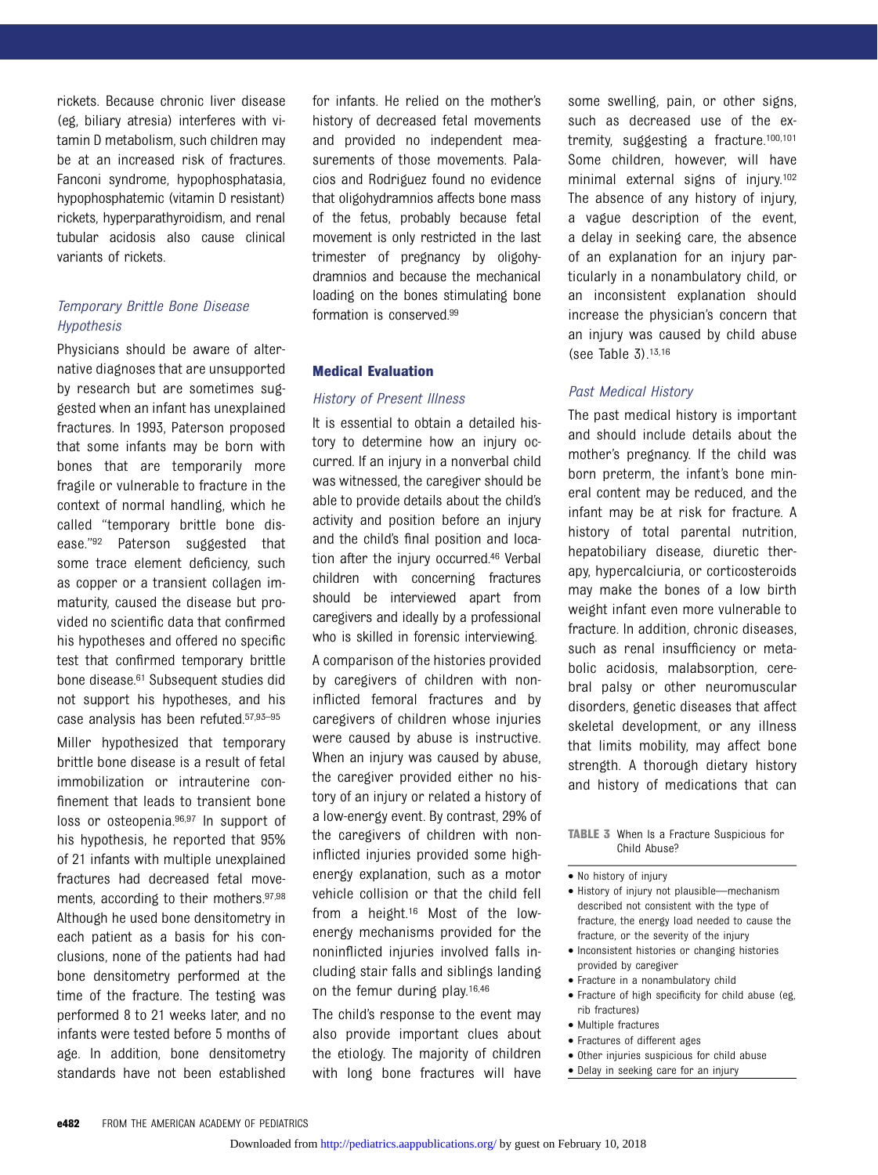rickets. Because chronic liver disease (eg, biliary atresia) interferes with vitamin D metabolism, such children may be at an increased risk of fractures. Fanconi syndrome, hypophosphatasia, hypophosphatemic (vitamin D resistant) rickets, hyperparathyroidism, and renal tubular acidosis also cause clinical variants of rickets.

# Temporary Brittle Bone Disease Hypothesis

Physicians should be aware of alternative diagnoses that are unsupported by research but are sometimes suggested when an infant has unexplained fractures. In 1993, Paterson proposed that some infants may be born with bones that are temporarily more fragile or vulnerable to fracture in the context of normal handling, which he called "temporary brittle bone disease."<sup>92</sup> Paterson suggested that some trace element deficiency, such as copper or a transient collagen immaturity, caused the disease but provided no scientific data that confirmed his hypotheses and offered no specific test that confirmed temporary brittle bone disease.61 Subsequent studies did not support his hypotheses, and his case analysis has been refuted.57,93–<sup>95</sup>

Miller hypothesized that temporary brittle bone disease is a result of fetal immobilization or intrauterine confinement that leads to transient bone loss or osteopenia.96,97 In support of his hypothesis, he reported that 95% of 21 infants with multiple unexplained fractures had decreased fetal movements, according to their mothers.97,98 Although he used bone densitometry in each patient as a basis for his conclusions, none of the patients had had bone densitometry performed at the time of the fracture. The testing was performed 8 to 21 weeks later, and no infants were tested before 5 months of age. In addition, bone densitometry standards have not been established

for infants. He relied on the mother's history of decreased fetal movements and provided no independent measurements of those movements. Palacios and Rodriguez found no evidence that oligohydramnios affects bone mass of the fetus, probably because fetal movement is only restricted in the last trimester of pregnancy by oligohydramnios and because the mechanical loading on the bones stimulating bone formation is conserved.99

#### Medical Evaluation

#### History of Present Illness

It is essential to obtain a detailed history to determine how an injury occurred. If an injury in a nonverbal child was witnessed, the caregiver should be able to provide details about the child's activity and position before an injury and the child's final position and location after the injury occurred.46 Verbal children with concerning fractures should be interviewed apart from caregivers and ideally by a professional who is skilled in forensic interviewing.

A comparison of the histories provided by caregivers of children with noninflicted femoral fractures and by caregivers of children whose injuries were caused by abuse is instructive. When an injury was caused by abuse, the caregiver provided either no history of an injury or related a history of a low-energy event. By contrast, 29% of the caregivers of children with noninflicted injuries provided some highenergy explanation, such as a motor vehicle collision or that the child fell from a height.16 Most of the lowenergy mechanisms provided for the noninflicted injuries involved falls including stair falls and siblings landing on the femur during play.16,46

The child's response to the event may also provide important clues about the etiology. The majority of children with long bone fractures will have

some swelling, pain, or other signs, such as decreased use of the extremity, suggesting a fracture.100,101 Some children, however, will have minimal external signs of injury.102 The absence of any history of injury, a vague description of the event, a delay in seeking care, the absence of an explanation for an injury particularly in a nonambulatory child, or an inconsistent explanation should increase the physician's concern that an injury was caused by child abuse (see Table 3).13,16

#### Past Medical History

The past medical history is important and should include details about the mother's pregnancy. If the child was born preterm, the infant's bone mineral content may be reduced, and the infant may be at risk for fracture. A history of total parental nutrition, hepatobiliary disease, diuretic therapy, hypercalciuria, or corticosteroids may make the bones of a low birth weight infant even more vulnerable to fracture. In addition, chronic diseases, such as renal insufficiency or metabolic acidosis, malabsorption, cerebral palsy or other neuromuscular disorders, genetic diseases that affect skeletal development, or any illness that limits mobility, may affect bone strength. A thorough dietary history and history of medications that can

#### TABLE 3 When Is a Fracture Suspicious for Child Abuse?

• No history of injury

• History of injury not plausible—mechanism described not consistent with the type of fracture, the energy load needed to cause the fracture, or the severity of the injury

- Inconsistent histories or changing histories provided by caregiver
- Fracture in a nonambulatory child
- Fracture of high specificity for child abuse (eg, rib fractures)
- Multiple fractures
- Fractures of different ages
- Other injuries suspicious for child abuse • Delay in seeking care for an injury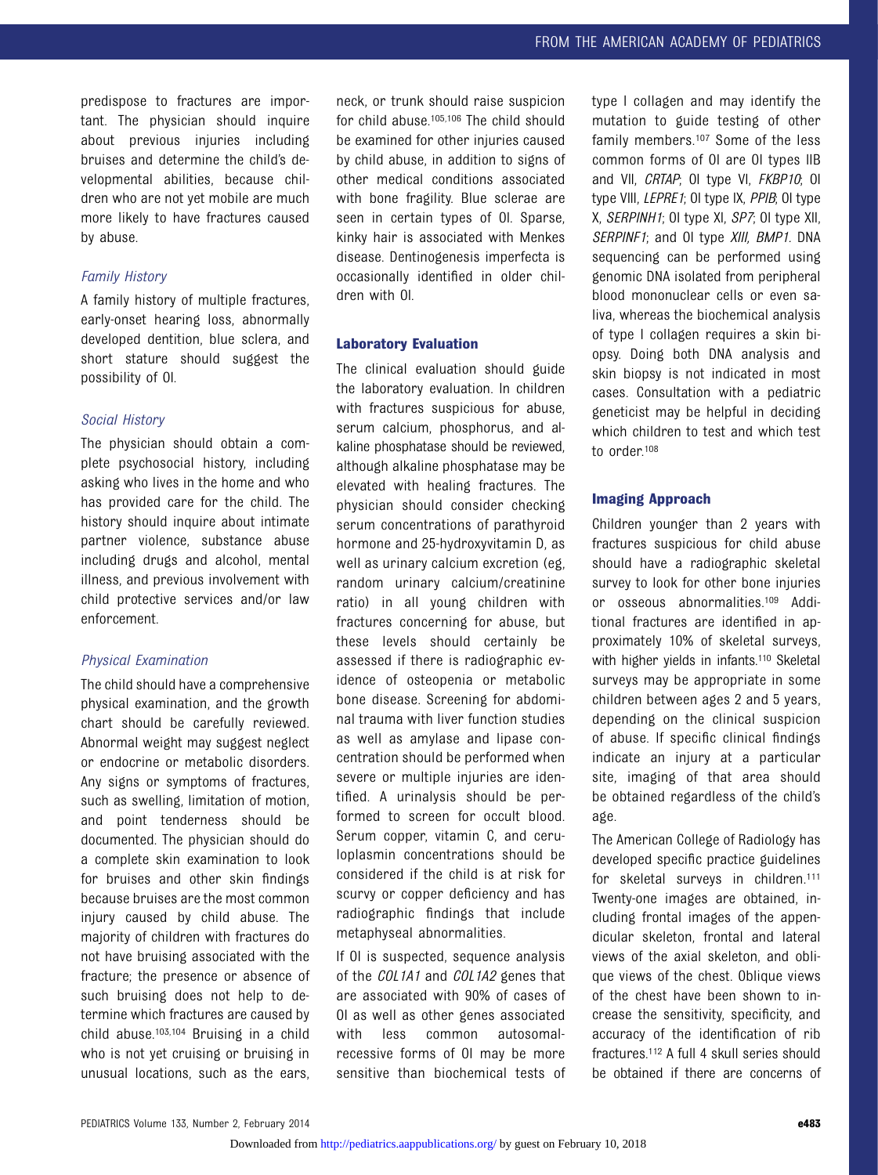predispose to fractures are important. The physician should inquire about previous injuries including bruises and determine the child's developmental abilities, because children who are not yet mobile are much more likely to have fractures caused by abuse.

## Family History

A family history of multiple fractures, early-onset hearing loss, abnormally developed dentition, blue sclera, and short stature should suggest the possibility of OI.

#### Social History

The physician should obtain a complete psychosocial history, including asking who lives in the home and who has provided care for the child. The history should inquire about intimate partner violence, substance abuse including drugs and alcohol, mental illness, and previous involvement with child protective services and/or law enforcement.

# Physical Examination

The child should have a comprehensive physical examination, and the growth chart should be carefully reviewed. Abnormal weight may suggest neglect or endocrine or metabolic disorders. Any signs or symptoms of fractures, such as swelling, limitation of motion, and point tenderness should be documented. The physician should do a complete skin examination to look for bruises and other skin findings because bruises are the most common injury caused by child abuse. The majority of children with fractures do not have bruising associated with the fracture; the presence or absence of such bruising does not help to determine which fractures are caused by child abuse.103,104 Bruising in a child who is not yet cruising or bruising in unusual locations, such as the ears,

neck, or trunk should raise suspicion for child abuse.105,106 The child should be examined for other injuries caused by child abuse, in addition to signs of other medical conditions associated with bone fragility. Blue sclerae are seen in certain types of OI. Sparse, kinky hair is associated with Menkes disease. Dentinogenesis imperfecta is occasionally identified in older children with OI.

## Laboratory Evaluation

The clinical evaluation should guide the laboratory evaluation. In children with fractures suspicious for abuse, serum calcium, phosphorus, and alkaline phosphatase should be reviewed, although alkaline phosphatase may be elevated with healing fractures. The physician should consider checking serum concentrations of parathyroid hormone and 25-hydroxyvitamin D, as well as urinary calcium excretion (eg, random urinary calcium/creatinine ratio) in all young children with fractures concerning for abuse, but these levels should certainly be assessed if there is radiographic evidence of osteopenia or metabolic bone disease. Screening for abdominal trauma with liver function studies as well as amylase and lipase concentration should be performed when severe or multiple injuries are identified. A urinalysis should be performed to screen for occult blood. Serum copper, vitamin C, and ceruloplasmin concentrations should be considered if the child is at risk for scurvy or copper deficiency and has radiographic findings that include metaphyseal abnormalities.

If OI is suspected, sequence analysis of the COL1A1 and COL1A2 genes that are associated with 90% of cases of OI as well as other genes associated with less common autosomalrecessive forms of OI may be more sensitive than biochemical tests of type I collagen and may identify the mutation to guide testing of other family members.107 Some of the less common forms of OI are OI types IIB and VII, CRTAP; OI type VI, FKBP10; OI type VIII, LEPRE1; OI type IX, PPIB; OI type X, SERPINH1; OI type XI, SP7; OI type XII, SERPINF1; and OI type XIII, BMP1. DNA sequencing can be performed using genomic DNA isolated from peripheral blood mononuclear cells or even saliva, whereas the biochemical analysis of type I collagen requires a skin biopsy. Doing both DNA analysis and skin biopsy is not indicated in most cases. Consultation with a pediatric geneticist may be helpful in deciding which children to test and which test to order.108

#### Imaging Approach

Children younger than 2 years with fractures suspicious for child abuse should have a radiographic skeletal survey to look for other bone injuries or osseous abnormalities.109 Additional fractures are identified in approximately 10% of skeletal surveys, with higher yields in infants.<sup>110</sup> Skeletal surveys may be appropriate in some children between ages 2 and 5 years, depending on the clinical suspicion of abuse. If specific clinical findings indicate an injury at a particular site, imaging of that area should be obtained regardless of the child's age.

The American College of Radiology has developed specific practice guidelines for skeletal surveys in children.111 Twenty-one images are obtained, including frontal images of the appendicular skeleton, frontal and lateral views of the axial skeleton, and oblique views of the chest. Oblique views of the chest have been shown to increase the sensitivity, specificity, and accuracy of the identification of rib fractures.112 A full 4 skull series should be obtained if there are concerns of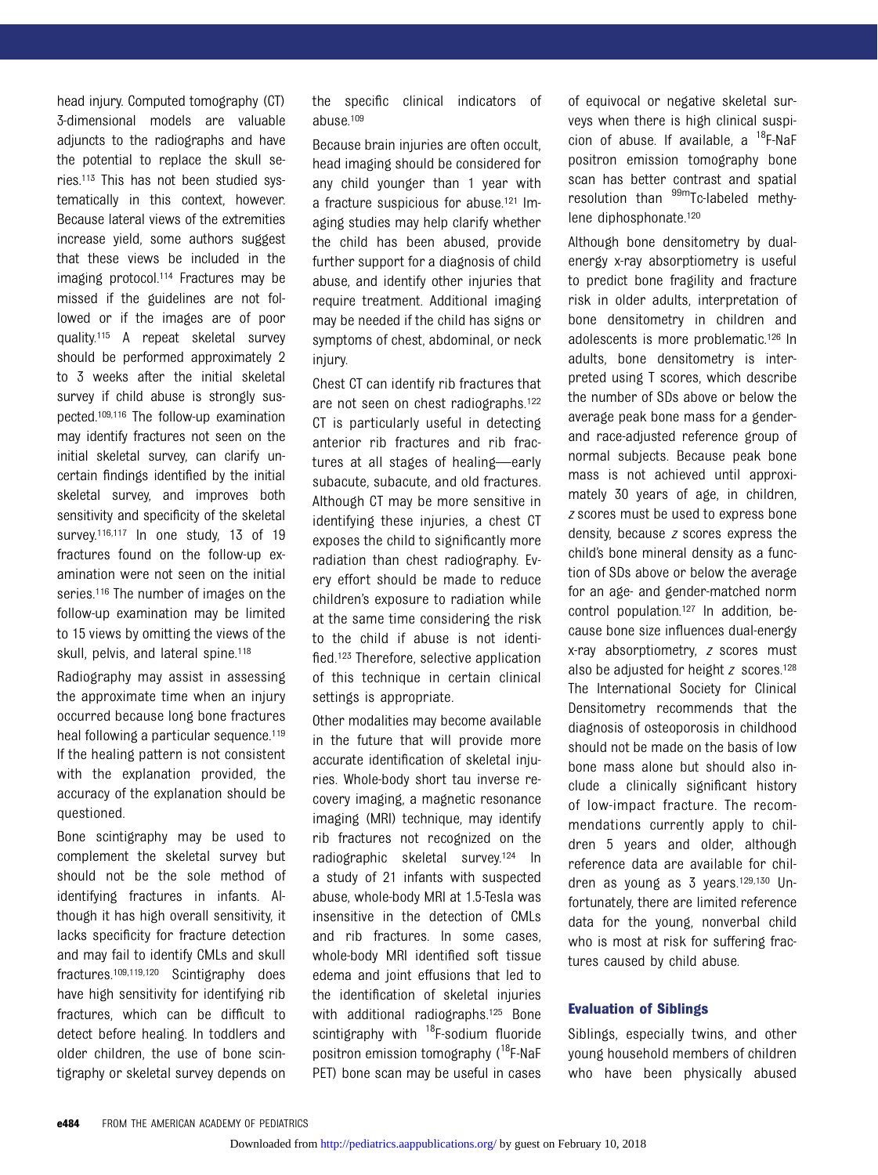head injury. Computed tomography (CT) 3-dimensional models are valuable adjuncts to the radiographs and have the potential to replace the skull series.113 This has not been studied systematically in this context, however. Because lateral views of the extremities increase yield, some authors suggest that these views be included in the imaging protocol.<sup>114</sup> Fractures may be missed if the guidelines are not followed or if the images are of poor quality.115 A repeat skeletal survey should be performed approximately 2 to 3 weeks after the initial skeletal survey if child abuse is strongly suspected.109,116 The follow-up examination may identify fractures not seen on the initial skeletal survey, can clarify uncertain findings identified by the initial skeletal survey, and improves both sensitivity and specificity of the skeletal survey.<sup>116,117</sup> In one study, 13 of 19 fractures found on the follow-up examination were not seen on the initial series.116 The number of images on the follow-up examination may be limited to 15 views by omitting the views of the skull, pelvis, and lateral spine.<sup>118</sup>

Radiography may assist in assessing the approximate time when an injury occurred because long bone fractures heal following a particular sequence.<sup>119</sup> If the healing pattern is not consistent with the explanation provided, the accuracy of the explanation should be questioned.

Bone scintigraphy may be used to complement the skeletal survey but should not be the sole method of identifying fractures in infants. Although it has high overall sensitivity, it lacks specificity for fracture detection and may fail to identify CMLs and skull fractures.109,119,120 Scintigraphy does have high sensitivity for identifying rib fractures, which can be difficult to detect before healing. In toddlers and older children, the use of bone scintigraphy or skeletal survey depends on the specific clinical indicators of abuse.109

Because brain injuries are often occult, head imaging should be considered for any child younger than 1 year with a fracture suspicious for abuse.121 Imaging studies may help clarify whether the child has been abused, provide further support for a diagnosis of child abuse, and identify other injuries that require treatment. Additional imaging may be needed if the child has signs or symptoms of chest, abdominal, or neck injury.

Chest CT can identify rib fractures that are not seen on chest radiographs.122 CT is particularly useful in detecting anterior rib fractures and rib fractures at all stages of healing—early subacute, subacute, and old fractures. Although CT may be more sensitive in identifying these injuries, a chest CT exposes the child to significantly more radiation than chest radiography. Every effort should be made to reduce children's exposure to radiation while at the same time considering the risk to the child if abuse is not identified.123 Therefore, selective application of this technique in certain clinical settings is appropriate.

Other modalities may become available in the future that will provide more accurate identification of skeletal injuries. Whole-body short tau inverse recovery imaging, a magnetic resonance imaging (MRI) technique, may identify rib fractures not recognized on the radiographic skeletal survey.124 In a study of 21 infants with suspected abuse, whole-body MRI at 1.5-Tesla was insensitive in the detection of CMLs and rib fractures. In some cases, whole-body MRI identified soft tissue edema and joint effusions that led to the identification of skeletal injuries with additional radiographs.<sup>125</sup> Bone scintigraphy with  $18F$ -sodium fluoride positron emission tomography (18F-NaF PET) bone scan may be useful in cases

of equivocal or negative skeletal surveys when there is high clinical suspicion of abuse. If available, a  $^{18}$ F-NaF positron emission tomography bone scan has better contrast and spatial resolution than  $99m$ Tc-labeled methylene diphosphonate.120

Although bone densitometry by dualenergy x-ray absorptiometry is useful to predict bone fragility and fracture risk in older adults, interpretation of bone densitometry in children and adolescents is more problematic.126 In adults, bone densitometry is interpreted using T scores, which describe the number of SDs above or below the average peak bone mass for a genderand race-adjusted reference group of normal subjects. Because peak bone mass is not achieved until approximately 30 years of age, in children, z scores must be used to express bone density, because z scores express the child's bone mineral density as a function of SDs above or below the average for an age- and gender-matched norm control population.127 In addition, because bone size influences dual-energy x-ray absorptiometry, z scores must also be adjusted for height  $z$  scores.<sup>128</sup> The International Society for Clinical Densitometry recommends that the diagnosis of osteoporosis in childhood should not be made on the basis of low bone mass alone but should also include a clinically significant history of low-impact fracture. The recommendations currently apply to children 5 years and older, although reference data are available for children as young as 3 years.129,130 Unfortunately, there are limited reference data for the young, nonverbal child who is most at risk for suffering fractures caused by child abuse.

# Evaluation of Siblings

Siblings, especially twins, and other young household members of children who have been physically abused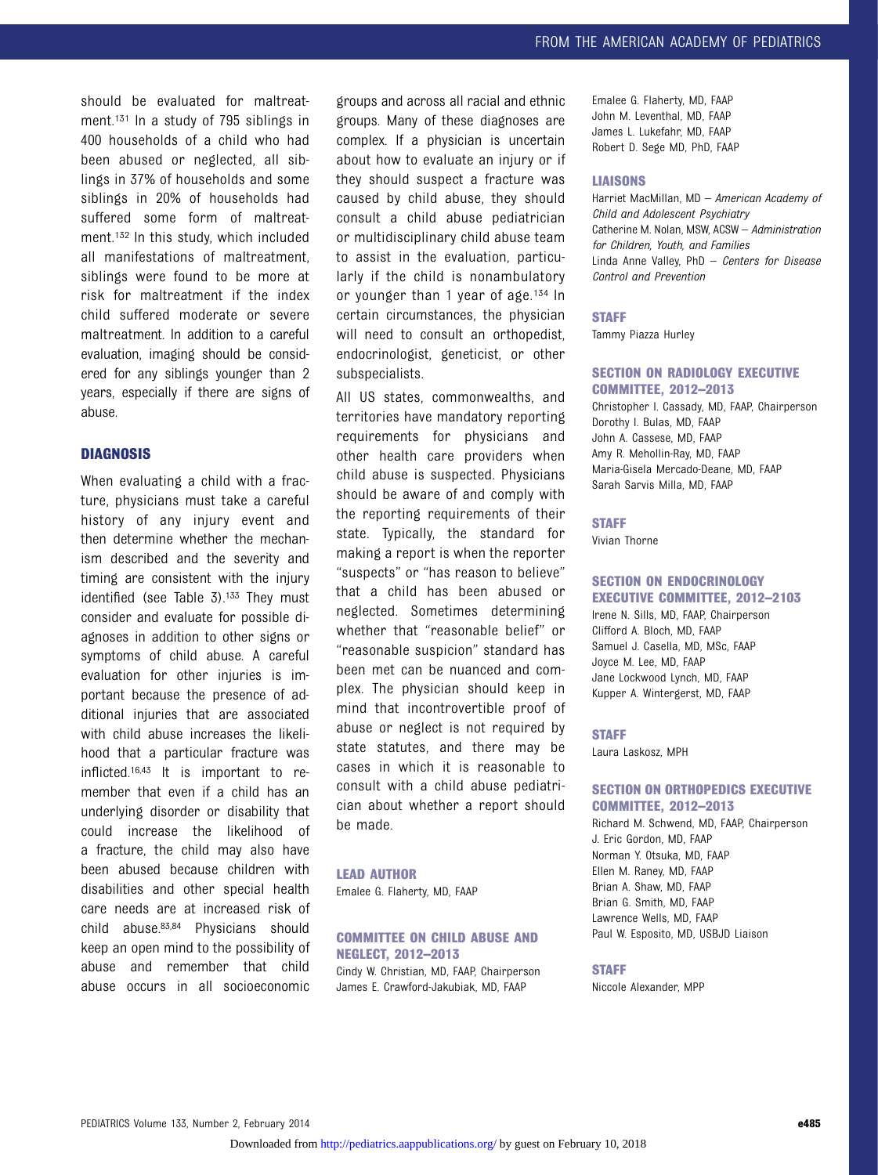should be evaluated for maltreatment.131 In a study of 795 siblings in 400 households of a child who had been abused or neglected, all siblings in 37% of households and some siblings in 20% of households had suffered some form of maltreatment.132 In this study, which included all manifestations of maltreatment, siblings were found to be more at risk for maltreatment if the index child suffered moderate or severe maltreatment. In addition to a careful evaluation, imaging should be considered for any siblings younger than 2 years, especially if there are signs of abuse.

#### **DIAGNOSIS**

When evaluating a child with a fracture, physicians must take a careful history of any injury event and then determine whether the mechanism described and the severity and timing are consistent with the injury identified (see Table  $3$ ).<sup>133</sup> They must consider and evaluate for possible diagnoses in addition to other signs or symptoms of child abuse. A careful evaluation for other injuries is important because the presence of additional injuries that are associated with child abuse increases the likelihood that a particular fracture was inflicted.16,43 It is important to remember that even if a child has an underlying disorder or disability that could increase the likelihood of a fracture, the child may also have been abused because children with disabilities and other special health care needs are at increased risk of child abuse.83,84 Physicians should keep an open mind to the possibility of abuse and remember that child abuse occurs in all socioeconomic

groups and across all racial and ethnic groups. Many of these diagnoses are complex. If a physician is uncertain about how to evaluate an injury or if they should suspect a fracture was caused by child abuse, they should consult a child abuse pediatrician or multidisciplinary child abuse team to assist in the evaluation, particularly if the child is nonambulatory or younger than 1 year of age.134 In certain circumstances, the physician will need to consult an orthopedist, endocrinologist, geneticist, or other subspecialists.

All US states, commonwealths, and territories have mandatory reporting requirements for physicians and other health care providers when child abuse is suspected. Physicians should be aware of and comply with the reporting requirements of their state. Typically, the standard for making a report is when the reporter "suspects" or "has reason to believe" that a child has been abused or neglected. Sometimes determining whether that "reasonable belief" or "reasonable suspicion" standard has been met can be nuanced and complex. The physician should keep in mind that incontrovertible proof of abuse or neglect is not required by state statutes, and there may be cases in which it is reasonable to consult with a child abuse pediatrician about whether a report should be made.

#### LEAD AUTHOR

Emalee G. Flaherty, MD, FAAP

#### COMMITTEE ON CHILD ABUSE AND NEGLECT, 2012–2013

Cindy W. Christian, MD, FAAP, Chairperson James E. Crawford-Jakubiak, MD, FAAP

Emalee G. Flaherty, MD, FAAP John M. Leventhal, MD, FAAP James L. Lukefahr, MD, FAAP Robert D. Sege MD, PhD, FAAP

#### LIAISONS

Harriet MacMillan, MD - American Academy of Child and Adolescent Psychiatry Catherine M. Nolan, MSW, ACSW – Administration for Children, Youth, and Families Linda Anne Valley,  $PhD - Centers$  for Disease Control and Prevention

#### **STAFF**

Tammy Piazza Hurley

#### SECTION ON RADIOLOGY EXECUTIVE COMMITTEE, 2012–2013

Christopher I. Cassady, MD, FAAP, Chairperson Dorothy I. Bulas, MD, FAAP John A. Cassese, MD, FAAP Amy R. Mehollin-Ray, MD, FAAP Maria-Gisela Mercado-Deane, MD, FAAP Sarah Sarvis Milla, MD, FAAP

#### **STAFF**

Vivian Thorne

#### SECTION ON ENDOCRINOLOGY EXECUTIVE COMMITTEE, 2012–2103

Irene N. Sills, MD, FAAP, Chairperson Clifford A. Bloch, MD, FAAP Samuel J. Casella, MD, MSc, FAAP Joyce M. Lee, MD, FAAP Jane Lockwood Lynch, MD, FAAP Kupper A. Wintergerst, MD, FAAP

#### **STAFF**

Laura Laskosz, MPH

#### SECTION ON ORTHOPEDICS EXECUTIVE COMMITTEE, 2012–2013

Richard M. Schwend, MD, FAAP, Chairperson J. Eric Gordon, MD, FAAP Norman Y. Otsuka, MD, FAAP Ellen M. Raney, MD, FAAP Brian A. Shaw, MD, FAAP Brian G. Smith, MD, FAAP Lawrence Wells, MD, FAAP Paul W. Esposito, MD, USBJD Liaison

#### **STAFF**

Niccole Alexander, MPP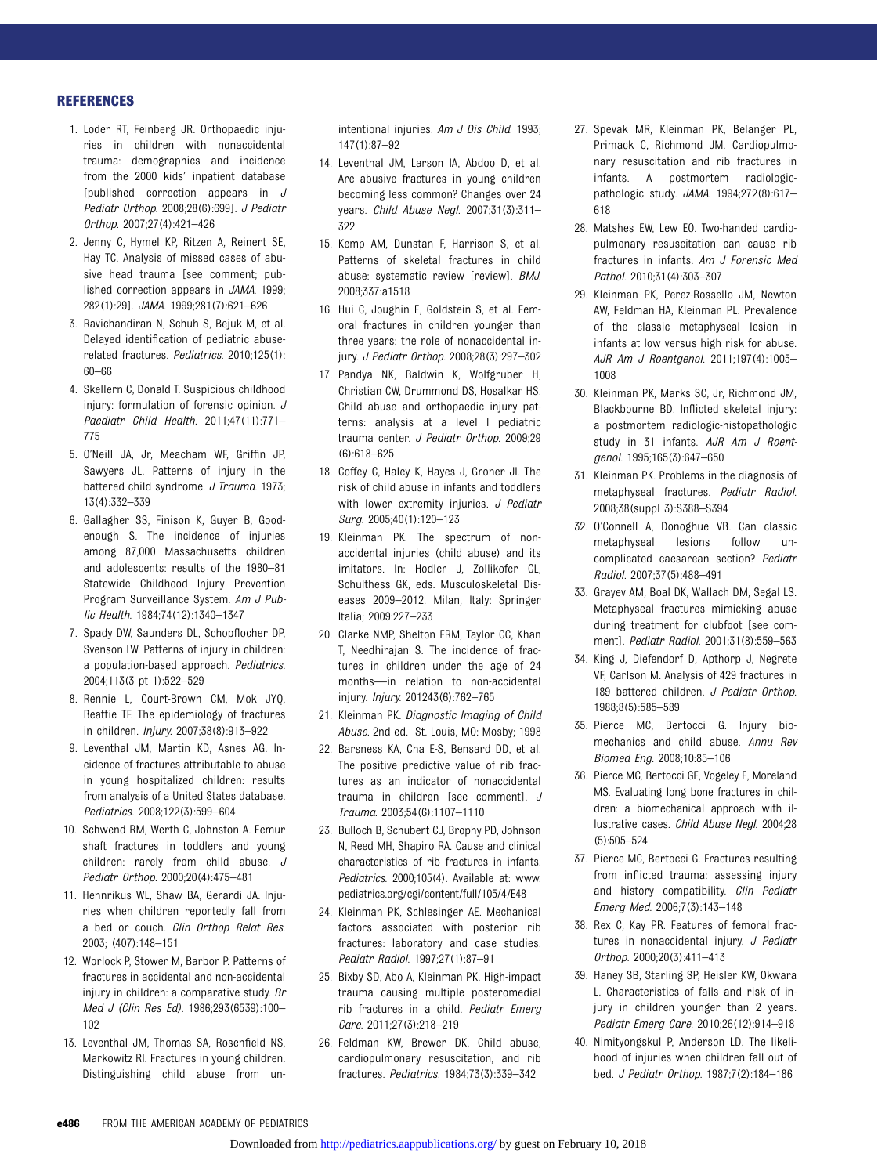#### **REFERENCES**

- 1. Loder RT, Feinberg JR. Orthopaedic injuries in children with nonaccidental trauma: demographics and incidence from the 2000 kids' inpatient database  $[$  published correction appears in  $J$ Pediatr Orthop. 2008;28(6):699]. J Pediatr Orthop. 2007;27(4):421–426
- 2. Jenny C, Hymel KP, Ritzen A, Reinert SE, Hay TC. Analysis of missed cases of abusive head trauma [see comment; published correction appears in JAMA. 1999; 282(1):29]. JAMA. 1999;281(7):621–626
- 3. Ravichandiran N, Schuh S, Bejuk M, et al. Delayed identification of pediatric abuserelated fractures. Pediatrics. 2010;125(1): 60–66
- 4. Skellern C, Donald T. Suspicious childhood injury: formulation of forensic opinion. J Paediatr Child Health. 2011;47(11):771– 775
- 5. O'Neill JA, Jr, Meacham WF, Griffin JP, Sawyers JL. Patterns of injury in the battered child syndrome. J Trauma. 1973; 13(4):332–339
- 6. Gallagher SS, Finison K, Guyer B, Goodenough S. The incidence of injuries among 87,000 Massachusetts children and adolescents: results of the 1980–81 Statewide Childhood Injury Prevention Program Surveillance System. Am J Public Health. 1984;74(12):1340–1347
- 7. Spady DW, Saunders DL, Schopflocher DP, Svenson LW. Patterns of injury in children: a population-based approach. Pediatrics. 2004;113(3 pt 1):522–529
- 8. Rennie L, Court-Brown CM, Mok JYQ, Beattie TF. The epidemiology of fractures in children. Injury. 2007;38(8):913–922
- 9. Leventhal JM, Martin KD, Asnes AG. Incidence of fractures attributable to abuse in young hospitalized children: results from analysis of a United States database. Pediatrics. 2008;122(3):599–604
- 10. Schwend RM, Werth C, Johnston A. Femur shaft fractures in toddlers and young children: rarely from child abuse. J Pediatr Orthop. 2000;20(4):475–481
- 11. Hennrikus WL, Shaw BA, Gerardi JA. Injuries when children reportedly fall from a bed or couch. Clin Orthop Relat Res. 2003; (407):148–151
- 12. Worlock P, Stower M, Barbor P. Patterns of fractures in accidental and non-accidental injury in children: a comparative study. Br Med J (Clin Res Ed). 1986;293(6539):100– 102
- 13. Leventhal JM, Thomas SA, Rosenfield NS, Markowitz RI. Fractures in young children. Distinguishing child abuse from un-

intentional injuries. Am J Dis Child. 1993; 147(1):87–92

- 14. Leventhal JM, Larson IA, Abdoo D, et al. Are abusive fractures in young children becoming less common? Changes over 24 years. Child Abuse Negl. 2007;31(3):311– 322
- 15. Kemp AM, Dunstan F, Harrison S, et al. Patterns of skeletal fractures in child abuse: systematic review [review]. BMJ. 2008;337:a1518
- 16. Hui C, Joughin E, Goldstein S, et al. Femoral fractures in children younger than three years: the role of nonaccidental injury. J Pediatr Orthop. 2008;28(3):297–302
- 17. Pandya NK, Baldwin K, Wolfgruber H, Christian CW, Drummond DS, Hosalkar HS. Child abuse and orthopaedic injury patterns: analysis at a level I pediatric trauma center. J Pediatr Orthop. 2009;29 (6):618–625
- 18. Coffey C, Haley K, Hayes J, Groner JI. The risk of child abuse in infants and toddlers with lower extremity injuries. J Pediatr Surg. 2005;40(1):120–123
- 19. Kleinman PK. The spectrum of nonaccidental injuries (child abuse) and its imitators. In: Hodler J, Zollikofer CL, Schulthess GK, eds. Musculoskeletal Diseases 2009–2012. Milan, Italy: Springer Italia; 2009:227–233
- 20. Clarke NMP, Shelton FRM, Taylor CC, Khan T, Needhirajan S. The incidence of fractures in children under the age of 24 months—in relation to non-accidental injury. Injury. 201243(6):762–765
- 21. Kleinman PK. Diagnostic Imaging of Child Abuse. 2nd ed. St. Louis, MO: Mosby; 1998
- 22. Barsness KA, Cha E-S, Bensard DD, et al. The positive predictive value of rib fractures as an indicator of nonaccidental trauma in children [see comment]. J Trauma. 2003;54(6):1107–1110
- 23. Bulloch B, Schubert CJ, Brophy PD, Johnson N, Reed MH, Shapiro RA. Cause and clinical characteristics of rib fractures in infants. Pediatrics. 2000:105(4). Available at: [www.](www.pediatrics.org/cgi/content/full/105/4/E48) [pediatrics.org/cgi/content/full/105/4/E48](www.pediatrics.org/cgi/content/full/105/4/E48)
- 24. Kleinman PK, Schlesinger AE. Mechanical factors associated with posterior rib fractures: laboratory and case studies. Pediatr Radiol. 1997;27(1):87–91
- 25. Bixby SD, Abo A, Kleinman PK. High-impact trauma causing multiple posteromedial rib fractures in a child. Pediatr Emerg Care. 2011;27(3):218–219
- 26. Feldman KW, Brewer DK. Child abuse, cardiopulmonary resuscitation, and rib fractures. Pediatrics. 1984;73(3):339–342
- 27. Spevak MR, Kleinman PK, Belanger PL, Primack C, Richmond JM. Cardiopulmonary resuscitation and rib fractures in infants. A postmortem radiologicpathologic study. JAMA. 1994;272(8):617– 618
- 28. Matshes EW, Lew EO. Two-handed cardiopulmonary resuscitation can cause rib fractures in infants. Am J Forensic Med Pathol. 2010;31(4):303–307
- 29. Kleinman PK, Perez-Rossello JM, Newton AW, Feldman HA, Kleinman PL. Prevalence of the classic metaphyseal lesion in infants at low versus high risk for abuse. AJR Am J Roentgenol. 2011;197(4):1005-1008
- 30. Kleinman PK, Marks SC, Jr, Richmond JM, Blackbourne BD. Inflicted skeletal injury: a postmortem radiologic-histopathologic study in 31 infants. AJR Am J Roentgenol. 1995;165(3):647–650
- 31. Kleinman PK. Problems in the diagnosis of metaphyseal fractures. Pediatr Radiol. 2008;38(suppl 3):S388–S394
- 32. O'Connell A, Donoghue VB. Can classic metaphyseal lesions follow uncomplicated caesarean section? Pediatr Radiol. 2007;37(5):488–491
- 33. Grayev AM, Boal DK, Wallach DM, Segal LS. Metaphyseal fractures mimicking abuse during treatment for clubfoot [see comment]. Pediatr Radiol. 2001;31(8):559–563
- 34. King J, Diefendorf D, Apthorp J, Negrete VF, Carlson M. Analysis of 429 fractures in 189 battered children. J Pediatr Orthop. 1988;8(5):585–589
- 35. Pierce MC, Bertocci G. Injury biomechanics and child abuse. Annu Rev Biomed Eng. 2008;10:85–106
- 36. Pierce MC, Bertocci GE, Vogeley E, Moreland MS. Evaluating long bone fractures in children: a biomechanical approach with illustrative cases. Child Abuse Negl. 2004;28 (5):505–524
- 37. Pierce MC, Bertocci G. Fractures resulting from inflicted trauma: assessing injury and history compatibility. Clin Pediatr Emerg Med. 2006;7(3):143–148
- 38. Rex C, Kay PR. Features of femoral fractures in nonaccidental injury. J Pediatr Orthop. 2000;20(3):411–413
- 39. Haney SB, Starling SP, Heisler KW, Okwara L. Characteristics of falls and risk of injury in children younger than 2 years. Pediatr Emerg Care. 2010;26(12):914–918
- 40. Nimityongskul P, Anderson LD. The likelihood of injuries when children fall out of bed. J Pediatr Orthop. 1987;7(2):184–186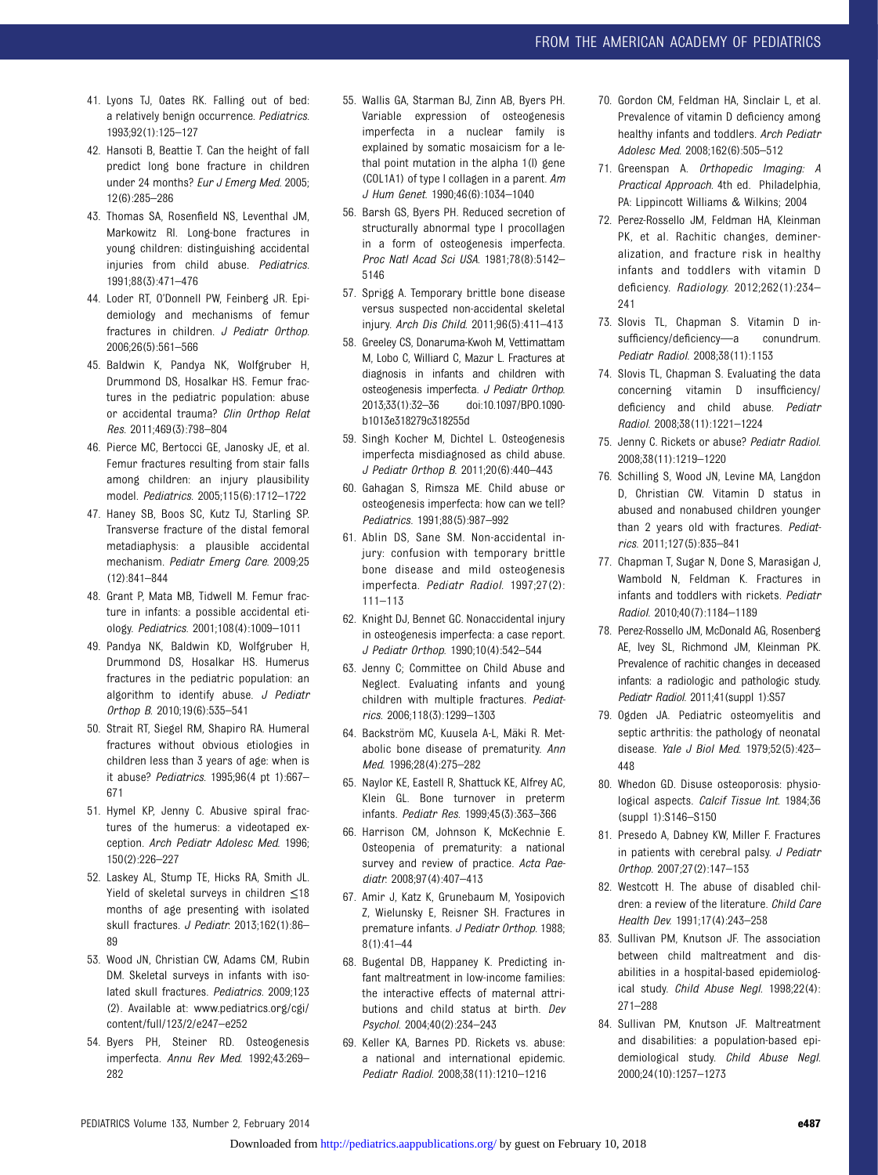- 41. Lyons TJ, Oates RK. Falling out of bed: a relatively benign occurrence. Pediatrics. 1993;92(1):125–127
- 42. Hansoti B, Beattie T. Can the height of fall predict long bone fracture in children under 24 months? Eur J Emerg Med. 2005; 12(6):285–286
- 43. Thomas SA, Rosenfield NS, Leventhal JM, Markowitz RI. Long-bone fractures in young children: distinguishing accidental injuries from child abuse. Pediatrics. 1991;88(3):471–476
- 44. Loder RT, O'Donnell PW, Feinberg JR. Epidemiology and mechanisms of femur fractures in children. J Pediatr Orthop. 2006;26(5):561–566
- 45. Baldwin K, Pandya NK, Wolfgruber H, Drummond DS, Hosalkar HS. Femur fractures in the pediatric population: abuse or accidental trauma? Clin Orthop Relat Res. 2011;469(3):798–804
- 46. Pierce MC, Bertocci GE, Janosky JE, et al. Femur fractures resulting from stair falls among children: an injury plausibility model. Pediatrics. 2005;115(6):1712–1722
- 47. Haney SB, Boos SC, Kutz TJ, Starling SP. Transverse fracture of the distal femoral metadiaphysis: a plausible accidental mechanism. Pediatr Emerg Care. 2009;25 (12):841–844
- 48. Grant P, Mata MB, Tidwell M. Femur fracture in infants: a possible accidental etiology. Pediatrics. 2001;108(4):1009–1011
- 49. Pandya NK, Baldwin KD, Wolfgruber H, Drummond DS, Hosalkar HS. Humerus fractures in the pediatric population: an algorithm to identify abuse.  $J$  Pediatr Orthop B. 2010;19(6):535–541
- 50. Strait RT, Siegel RM, Shapiro RA. Humeral fractures without obvious etiologies in children less than 3 years of age: when is it abuse? Pediatrics. 1995;96(4 pt 1):667– 671
- 51. Hymel KP, Jenny C. Abusive spiral fractures of the humerus: a videotaped exception. Arch Pediatr Adolesc Med. 1996; 150(2):226–227
- 52. Laskey AL, Stump TE, Hicks RA, Smith JL. Yield of skeletal surveys in children ≤18 months of age presenting with isolated skull fractures. J Pediatr. 2013;162(1):86- $89$
- 53. Wood JN, Christian CW, Adams CM, Rubin DM. Skeletal surveys in infants with isolated skull fractures. Pediatrics. 2009;123 (2). Available at: [www.pediatrics.org/cgi/](www.pediatrics.org/cgi/content/full/123/2/e247&tnqh_x2013;e252) [content/full/123/2/e247](www.pediatrics.org/cgi/content/full/123/2/e247&tnqh_x2013;e252)–e252
- 54. Byers PH, Steiner RD. Osteogenesis imperfecta. Annu Rev Med. 1992;43:269– 282
- 55. Wallis GA, Starman BJ, Zinn AB, Byers PH. Variable expression of osteogenesis imperfecta in a nuclear family is explained by somatic mosaicism for a lethal point mutation in the alpha 1(I) gene (COL1A1) of type I collagen in a parent. Am J Hum Genet. 1990;46(6):1034–1040
- 56. Barsh GS, Byers PH. Reduced secretion of structurally abnormal type I procollagen in a form of osteogenesis imperfecta. Proc Natl Acad Sci USA. 1981;78(8):5142– 5146
- 57. Sprigg A. Temporary brittle bone disease versus suspected non-accidental skeletal injury. Arch Dis Child. 2011;96(5):411–413
- 58. Greeley CS, Donaruma-Kwoh M, Vettimattam M, Lobo C, Williard C, Mazur L. Fractures at diagnosis in infants and children with osteogenesis imperfecta. J Pediatr Orthop. 2013;33(1):32–36 doi:10.1097/BPO.1090 b1013e318279c318255d
- 59. Singh Kocher M, Dichtel L. Osteogenesis imperfecta misdiagnosed as child abuse. J Pediatr Orthop B. 2011;20(6):440–443
- 60. Gahagan S, Rimsza ME. Child abuse or osteogenesis imperfecta: how can we tell? Pediatrics. 1991;88(5):987–992
- 61. Ablin DS, Sane SM. Non-accidental injury: confusion with temporary brittle bone disease and mild osteogenesis imperfecta. Pediatr Radiol. 1997;27(2): 111–113
- 62. Knight DJ, Bennet GC. Nonaccidental injury in osteogenesis imperfecta: a case report. J Pediatr Orthop. 1990;10(4):542–544
- 63. Jenny C; Committee on Child Abuse and Neglect. Evaluating infants and young children with multiple fractures. Pediatrics. 2006;118(3):1299–1303
- 64. Backström MC, Kuusela A-L, Mäki R. Metabolic bone disease of prematurity. Ann Med. 1996;28(4):275–282
- 65. Naylor KE, Eastell R, Shattuck KE, Alfrey AC, Klein GL. Bone turnover in preterm infants. Pediatr Res. 1999;45(3):363–366
- 66. Harrison CM, Johnson K, McKechnie E. Osteopenia of prematurity: a national survey and review of practice. Acta Paediatr. 2008;97(4):407–413
- 67. Amir J, Katz K, Grunebaum M, Yosipovich Z, Wielunsky E, Reisner SH. Fractures in premature infants. J Pediatr Orthop. 1988; 8(1):41–44
- 68. Bugental DB, Happaney K. Predicting infant maltreatment in low-income families: the interactive effects of maternal attributions and child status at birth. Dev Psychol. 2004;40(2):234–243
- 69. Keller KA, Barnes PD. Rickets vs. abuse: a national and international epidemic. Pediatr Radiol. 2008;38(11):1210–1216
- 70. Gordon CM, Feldman HA, Sinclair L, et al. Prevalence of vitamin D deficiency among healthy infants and toddlers. Arch Pediatr Adolesc Med. 2008;162(6):505–512
- 71. Greenspan A. Orthopedic Imaging: A Practical Approach. 4th ed. Philadelphia, PA: Lippincott Williams & Wilkins; 2004
- 72. Perez-Rossello JM, Feldman HA, Kleinman PK, et al. Rachitic changes, demineralization, and fracture risk in healthy infants and toddlers with vitamin D deficiency. Radiology. 2012;262(1):234– 241
- 73. Slovis TL, Chapman S. Vitamin D insufficiency/deficiency—a conundrum. Pediatr Radiol. 2008;38(11):1153
- 74. Slovis TL, Chapman S. Evaluating the data concerning vitamin D insufficiency/ deficiency and child abuse. Pediatr Radiol. 2008;38(11):1221–1224
- 75. Jenny C. Rickets or abuse? Pediatr Radiol. 2008;38(11):1219–1220
- 76. Schilling S, Wood JN, Levine MA, Langdon D, Christian CW. Vitamin D status in abused and nonabused children younger than 2 years old with fractures. Pediatrics. 2011;127(5):835–841
- 77. Chapman T, Sugar N, Done S, Marasigan J, Wambold N, Feldman K. Fractures in infants and toddlers with rickets. Pediatr Radiol. 2010;40(7):1184–1189
- 78. Perez-Rossello JM, McDonald AG, Rosenberg AE, Ivey SL, Richmond JM, Kleinman PK. Prevalence of rachitic changes in deceased infants: a radiologic and pathologic study. Pediatr Radiol. 2011;41(suppl 1):S57
- 79. Ogden JA. Pediatric osteomyelitis and septic arthritis: the pathology of neonatal disease. Yale J Biol Med. 1979;52(5):423–  $\overline{A}$
- 80. Whedon GD. Disuse osteoporosis: physiological aspects. Calcif Tissue Int. 1984;36 (suppl 1):S146–S150
- 81. Presedo A, Dabney KW, Miller F. Fractures in patients with cerebral palsy.  $J$  Pediatr Orthop. 2007;27(2):147–153
- 82. Westcott H. The abuse of disabled children: a review of the literature. Child Care Health Dev. 1991;17(4):243–258
- 83. Sullivan PM, Knutson JF. The association between child maltreatment and disabilities in a hospital-based epidemiological study. Child Abuse Negl. 1998;22(4): 271–288
- 84. Sullivan PM, Knutson JF. Maltreatment and disabilities: a population-based epidemiological study. Child Abuse Negl. 2000;24(10):1257–1273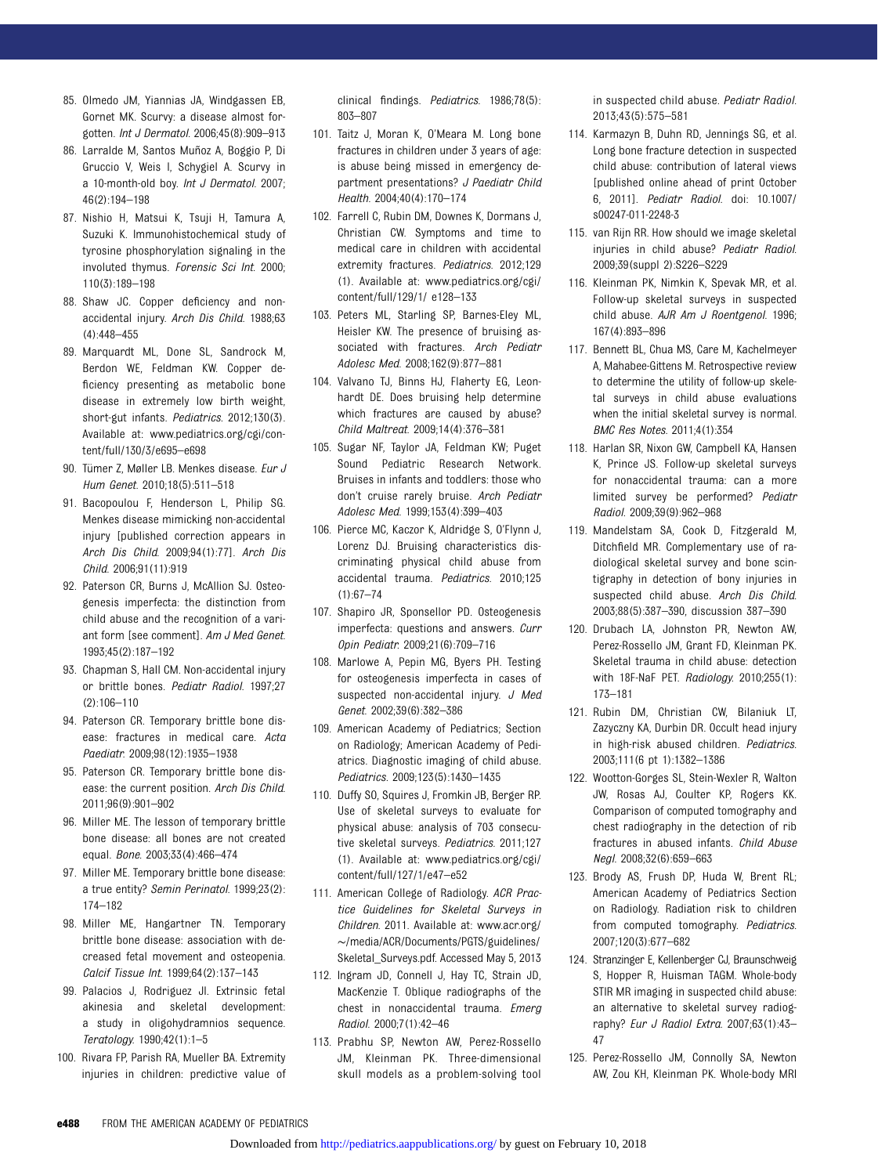- 85. Olmedo JM, Yiannias JA, Windgassen EB, Gornet MK. Scurvy: a disease almost forgotten. Int J Dermatol. 2006;45(8):909–913
- 86. Larralde M, Santos Muñoz A, Boggio P, Di Gruccio V, Weis I, Schygiel A. Scurvy in a 10-month-old boy. Int J Dermatol. 2007; 46(2):194–198
- 87. Nishio H, Matsui K, Tsuji H, Tamura A, Suzuki K. Immunohistochemical study of tyrosine phosphorylation signaling in the involuted thymus. Forensic Sci Int. 2000; 110(3):189–198
- 88. Shaw JC. Copper deficiency and nonaccidental injury. Arch Dis Child. 1988;63 (4):448–455
- 89. Marquardt ML, Done SL, Sandrock M, Berdon WE, Feldman KW. Copper deficiency presenting as metabolic bone disease in extremely low birth weight, short-gut infants. Pediatrics. 2012;130(3). Available at: [www.pediatrics.org/cgi/con](www.pediatrics.org/cgi/content/full/130/3/e695&tnqh_x2013;e698)[tent/full/130/3/e695](www.pediatrics.org/cgi/content/full/130/3/e695&tnqh_x2013;e698)–e698
- 90. Tümer Z, Møller LB. Menkes disease. Eur J Hum Genet. 2010;18(5):511–518
- 91. Bacopoulou F, Henderson L, Philip SG. Menkes disease mimicking non-accidental injury [published correction appears in Arch Dis Child. 2009;94(1):77]. Arch Dis Child. 2006;91(11):919
- 92. Paterson CR, Burns J, McAllion SJ. Osteogenesis imperfecta: the distinction from child abuse and the recognition of a variant form [see comment]. Am J Med Genet. 1993;45(2):187–192
- 93. Chapman S, Hall CM. Non-accidental injury or brittle bones. Pediatr Radiol. 1997;27 (2):106–110
- 94. Paterson CR. Temporary brittle bone disease: fractures in medical care. Acta Paediatr. 2009;98(12):1935–1938
- 95. Paterson CR. Temporary brittle bone disease: the current position. Arch Dis Child. 2011;96(9):901–902
- 96. Miller ME. The lesson of temporary brittle bone disease: all bones are not created equal. Bone. 2003;33(4):466–474
- 97. Miller ME. Temporary brittle bone disease: a true entity? Semin Perinatol. 1999;23(2): 174–182
- 98. Miller ME, Hangartner TN. Temporary brittle bone disease: association with decreased fetal movement and osteopenia. Calcif Tissue Int. 1999;64(2):137–143
- 99. Palacios J, Rodriguez JI. Extrinsic fetal akinesia and skeletal development: a study in oligohydramnios sequence. Teratology. 1990;42(1):1–5
- 100. Rivara FP, Parish RA, Mueller BA. Extremity injuries in children: predictive value of

clinical findings. Pediatrics. 1986;78(5): 803–807

- 101. Taitz J, Moran K, O'Meara M. Long bone fractures in children under 3 years of age: is abuse being missed in emergency department presentations? J Paediatr Child Health. 2004;40(4):170–174
- 102. Farrell C, Rubin DM, Downes K, Dormans J, Christian CW. Symptoms and time to medical care in children with accidental extremity fractures. Pediatrics. 2012;129 (1). Available at: [www.pediatrics.org/cgi/](www.pediatrics.org/cgi/content/full/129/1/ e128&tnqh_x2013;133) [content/full/129/1/ e128](www.pediatrics.org/cgi/content/full/129/1/ e128&tnqh_x2013;133)–133
- 103. Peters ML, Starling SP, Barnes-Eley ML, Heisler KW. The presence of bruising associated with fractures. Arch Pediatr Adolesc Med. 2008;162(9):877–881
- 104. Valvano TJ, Binns HJ, Flaherty EG, Leonhardt DE. Does bruising help determine which fractures are caused by abuse? Child Maltreat. 2009;14(4):376–381
- 105. Sugar NF, Taylor JA, Feldman KW; Puget Sound Pediatric Research Network. Bruises in infants and toddlers: those who don't cruise rarely bruise. Arch Pediatr Adolesc Med. 1999;153(4):399–403
- 106. Pierce MC, Kaczor K, Aldridge S, O'Flynn J, Lorenz DJ. Bruising characteristics discriminating physical child abuse from accidental trauma. Pediatrics. 2010;125 (1):67–74
- 107. Shapiro JR, Sponsellor PD. Osteogenesis imperfecta: questions and answers. Curr Opin Pediatr. 2009;21(6):709–716
- 108. Marlowe A, Pepin MG, Byers PH. Testing for osteogenesis imperfecta in cases of suspected non-accidental injury. J Med Genet. 2002;39(6):382–386
- 109. American Academy of Pediatrics; Section on Radiology; American Academy of Pediatrics. Diagnostic imaging of child abuse. Pediatrics. 2009;123(5):1430–1435
- 110. Duffy SO, Squires J, Fromkin JB, Berger RP. Use of skeletal surveys to evaluate for physical abuse: analysis of 703 consecutive skeletal surveys. Pediatrics. 2011;127 (1). Available at: [www.pediatrics.org/cgi/](www.pediatrics.org/cgi/content/full/127/1/e47&tnqh_x2013;e52) [content/full/127/1/e47](www.pediatrics.org/cgi/content/full/127/1/e47&tnqh_x2013;e52)–e52
- 111. American College of Radiology. ACR Practice Guidelines for Skeletal Surveys in Children. 2011. Available at: [www.acr.org/](www.acr.org/&tnqh_x223C;/media/ACR/Documents/PGTS/guidelines/Skeletal_Surveys.pdf) ∼[/media/ACR/Documents/PGTS/guidelines/](www.acr.org/&tnqh_x223C;/media/ACR/Documents/PGTS/guidelines/Skeletal_Surveys.pdf) [Skeletal\\_Surveys.pdf.](www.acr.org/&tnqh_x223C;/media/ACR/Documents/PGTS/guidelines/Skeletal_Surveys.pdf) Accessed May 5, 2013
- 112. Ingram JD, Connell J, Hay TC, Strain JD, MacKenzie T. Oblique radiographs of the chest in nonaccidental trauma. Emerg Radiol. 2000;7(1):42–46
- 113. Prabhu SP, Newton AW, Perez-Rossello JM, Kleinman PK. Three-dimensional skull models as a problem-solving tool

in suspected child abuse. Pediatr Radiol. 2013;43(5):575–581

- 114. Karmazyn B, Duhn RD, Jennings SG, et al. Long bone fracture detection in suspected child abuse: contribution of lateral views [published online ahead of print October 6, 2011]. Pediatr Radiol. doi: 10.1007/ s00247-011-2248-3
- 115. van Rijn RR. How should we image skeletal injuries in child abuse? Pediatr Radiol. 2009;39(suppl 2):S226–S229
- 116. Kleinman PK, Nimkin K, Spevak MR, et al. Follow-up skeletal surveys in suspected child abuse. AJR Am J Roentgenol. 1996; 167(4):893–896
- 117. Bennett BL, Chua MS, Care M, Kachelmeyer A, Mahabee-Gittens M. Retrospective review to determine the utility of follow-up skeletal surveys in child abuse evaluations when the initial skeletal survey is normal. BMC Res Notes. 2011;4(1):354
- 118. Harlan SR, Nixon GW, Campbell KA, Hansen K, Prince JS. Follow-up skeletal surveys for nonaccidental trauma: can a more limited survey be performed? Pediatr Radiol. 2009;39(9):962–968
- 119. Mandelstam SA, Cook D, Fitzgerald M, Ditchfield MR. Complementary use of radiological skeletal survey and bone scintigraphy in detection of bony injuries in suspected child abuse. Arch Dis Child. 2003;88(5):387–390, discussion 387–390
- 120. Drubach LA, Johnston PR, Newton AW, Perez-Rossello JM, Grant FD, Kleinman PK. Skeletal trauma in child abuse: detection with 18F-NaF PET. Radiology. 2010;255(1): 173–181
- 121. Rubin DM, Christian CW, Bilaniuk LT, Zazyczny KA, Durbin DR. Occult head injury in high-risk abused children. Pediatrics. 2003;111(6 pt 1):1382–1386
- 122. Wootton-Gorges SL, Stein-Wexler R, Walton JW, Rosas AJ, Coulter KP, Rogers KK. Comparison of computed tomography and chest radiography in the detection of rib fractures in abused infants. Child Abuse Negl. 2008;32(6):659–663
- 123. Brody AS, Frush DP, Huda W, Brent RL; American Academy of Pediatrics Section on Radiology. Radiation risk to children from computed tomography. Pediatrics. 2007;120(3):677–682
- 124. Stranzinger E, Kellenberger CJ, Braunschweig S, Hopper R, Huisman TAGM. Whole-body STIR MR imaging in suspected child abuse: an alternative to skeletal survey radiography? Eur J Radiol Extra. 2007;63(1):43– 47
- 125. Perez-Rossello JM, Connolly SA, Newton AW, Zou KH, Kleinman PK. Whole-body MRI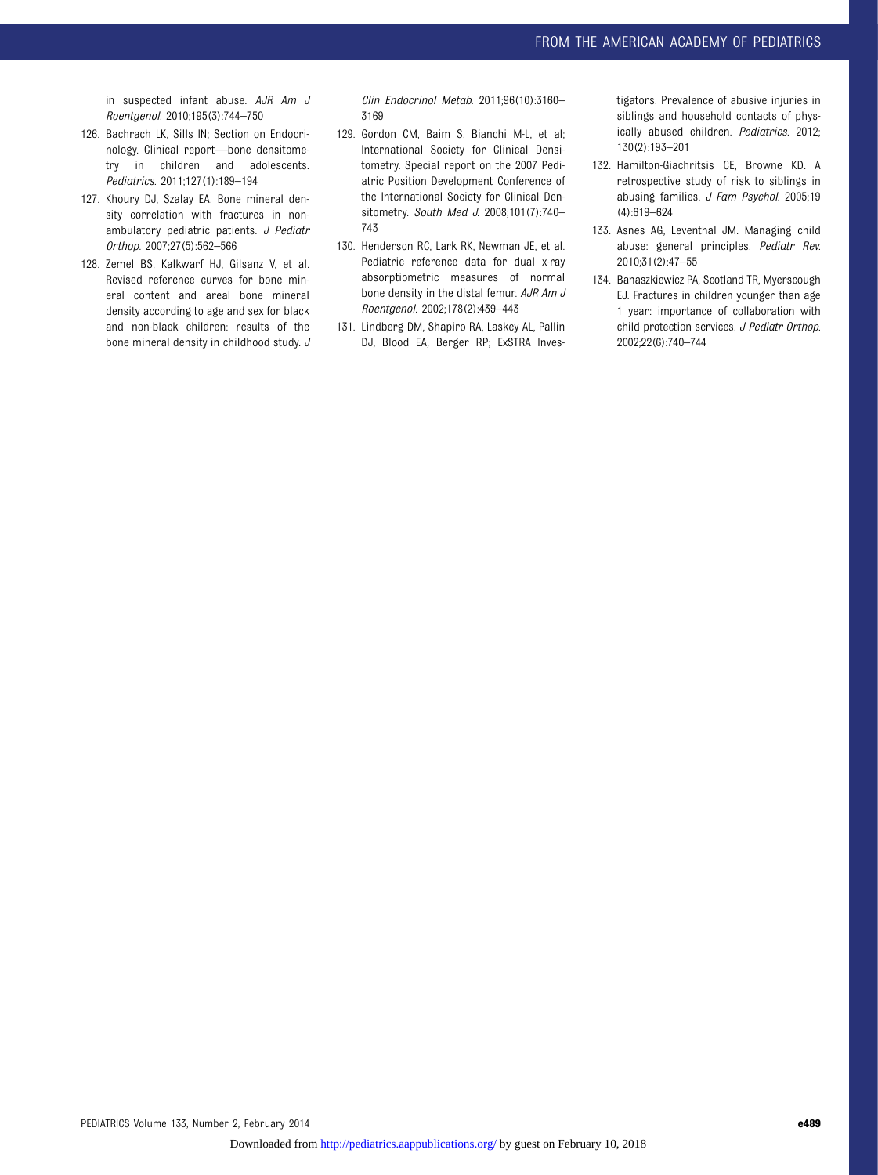in suspected infant abuse. AJR Am J Roentgenol. 2010;195(3):744–750

- 126. Bachrach LK, Sills IN; Section on Endocrinology. Clinical report—bone densitometry in children and adolescents. Pediatrics. 2011;127(1):189–194
- 127. Khoury DJ, Szalay EA. Bone mineral density correlation with fractures in nonambulatory pediatric patients. J Pediatr Orthop. 2007;27(5):562–566
- 128. Zemel BS, Kalkwarf HJ, Gilsanz V, et al. Revised reference curves for bone mineral content and areal bone mineral density according to age and sex for black and non-black children: results of the bone mineral density in childhood study. J

Clin Endocrinol Metab. 2011;96(10):3160– 3169

- 129. Gordon CM, Baim S, Bianchi M-L, et al; International Society for Clinical Densitometry. Special report on the 2007 Pediatric Position Development Conference of the International Society for Clinical Densitometry. South Med J. 2008;101(7):740-743
- 130. Henderson RC, Lark RK, Newman JE, et al. Pediatric reference data for dual x-ray absorptiometric measures of normal bone density in the distal femur. AJR Am J Roentgenol. 2002;178(2):439–443
- 131. Lindberg DM, Shapiro RA, Laskey AL, Pallin DJ, Blood EA, Berger RP; ExSTRA Inves-

tigators. Prevalence of abusive injuries in siblings and household contacts of physically abused children. Pediatrics. 2012; 130(2):193–201

- 132. Hamilton-Giachritsis CE, Browne KD. A retrospective study of risk to siblings in abusing families. J Fam Psychol. 2005;19 (4):619–624
- 133. Asnes AG, Leventhal JM. Managing child abuse: general principles. Pediatr Rev. 2010;31(2):47–55
- 134. Banaszkiewicz PA, Scotland TR, Myerscough EJ. Fractures in children younger than age 1 year: importance of collaboration with child protection services. J Pediatr Orthop. 2002;22(6):740–744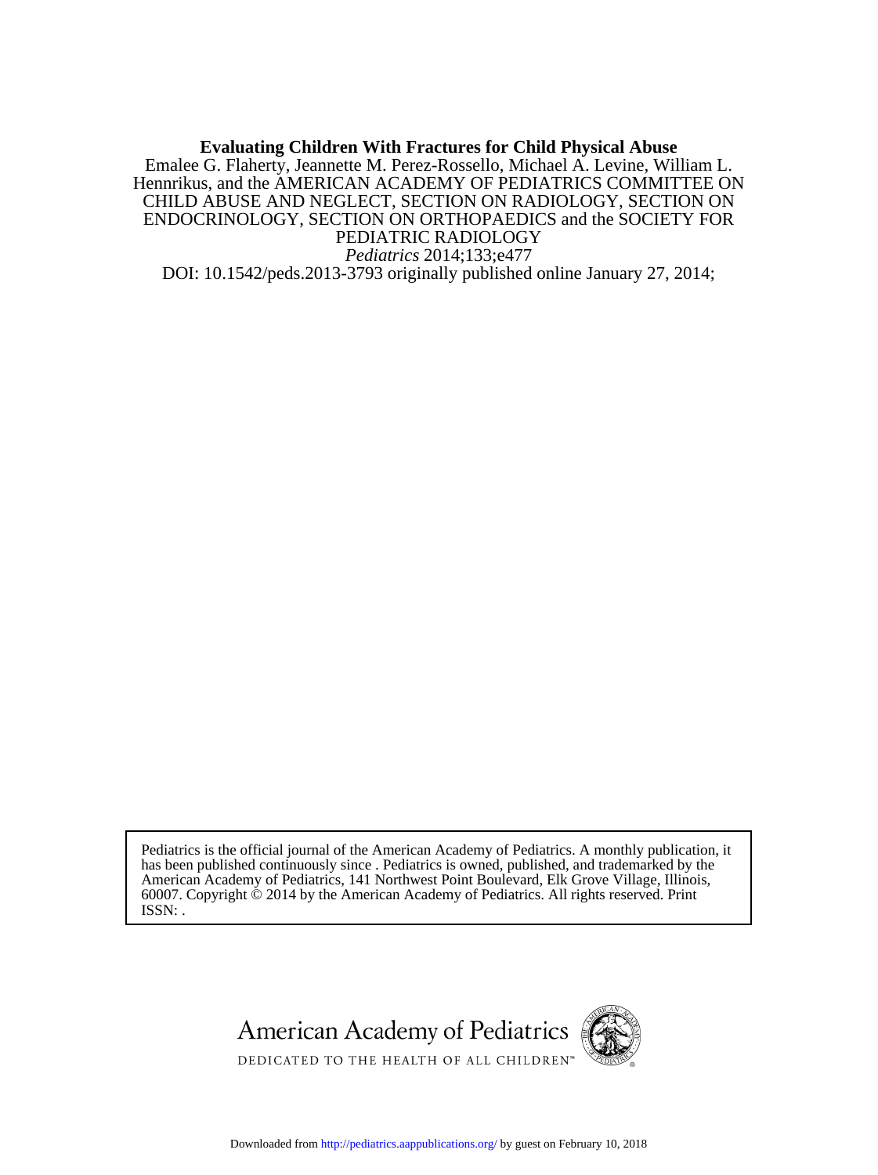# DOI: 10.1542/peds.2013-3793 originally published online January 27, 2014; *Pediatrics* 2014;133;e477 PEDIATRIC RADIOLOGY ENDOCRINOLOGY, SECTION ON ORTHOPAEDICS and the SOCIETY FOR CHILD ABUSE AND NEGLECT, SECTION ON RADIOLOGY, SECTION ON Hennrikus, and the AMERICAN ACADEMY OF PEDIATRICS COMMITTEE ON Emalee G. Flaherty, Jeannette M. Perez-Rossello, Michael A. Levine, William L. **Evaluating Children With Fractures for Child Physical Abuse**

ISSN: . 60007. Copyright © 2014 by the American Academy of Pediatrics. All rights reserved. Print American Academy of Pediatrics, 141 Northwest Point Boulevard, Elk Grove Village, Illinois, has been published continuously since . Pediatrics is owned, published, and trademarked by the Pediatrics is the official journal of the American Academy of Pediatrics. A monthly publication, it

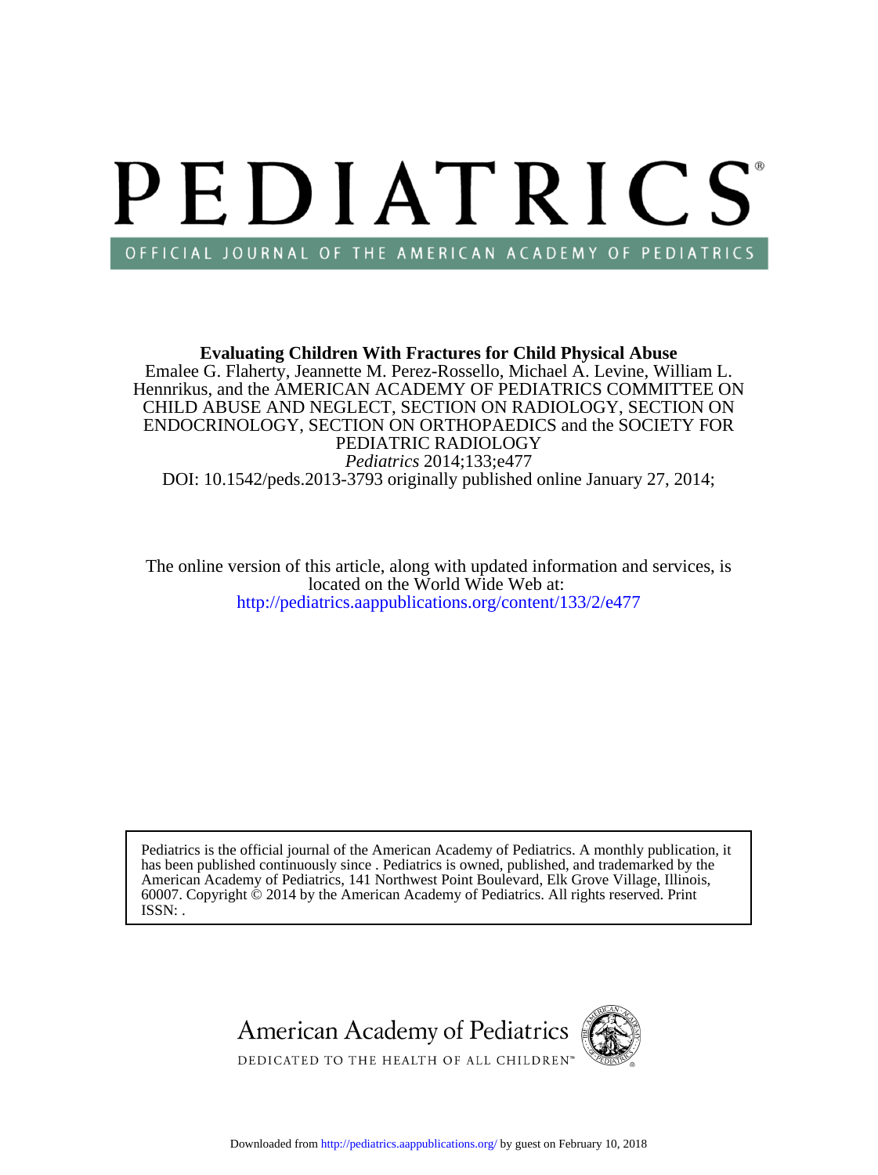# PEDIATRICS OFFICIAL JOURNAL OF THE AMERICAN ACADEMY OF PEDIATRICS

DOI: 10.1542/peds.2013-3793 originally published online January 27, 2014; *Pediatrics* 2014;133;e477 PEDIATRIC RADIOLOGY ENDOCRINOLOGY, SECTION ON ORTHOPAEDICS and the SOCIETY FOR CHILD ABUSE AND NEGLECT, SECTION ON RADIOLOGY, SECTION ON Hennrikus, and the AMERICAN ACADEMY OF PEDIATRICS COMMITTEE ON Emalee G. Flaherty, Jeannette M. Perez-Rossello, Michael A. Levine, William L. **Evaluating Children With Fractures for Child Physical Abuse**

<http://pediatrics.aappublications.org/content/133/2/e477> located on the World Wide Web at: The online version of this article, along with updated information and services, is

ISSN: . 60007. Copyright © 2014 by the American Academy of Pediatrics. All rights reserved. Print American Academy of Pediatrics, 141 Northwest Point Boulevard, Elk Grove Village, Illinois, has been published continuously since . Pediatrics is owned, published, and trademarked by the Pediatrics is the official journal of the American Academy of Pediatrics. A monthly publication, it